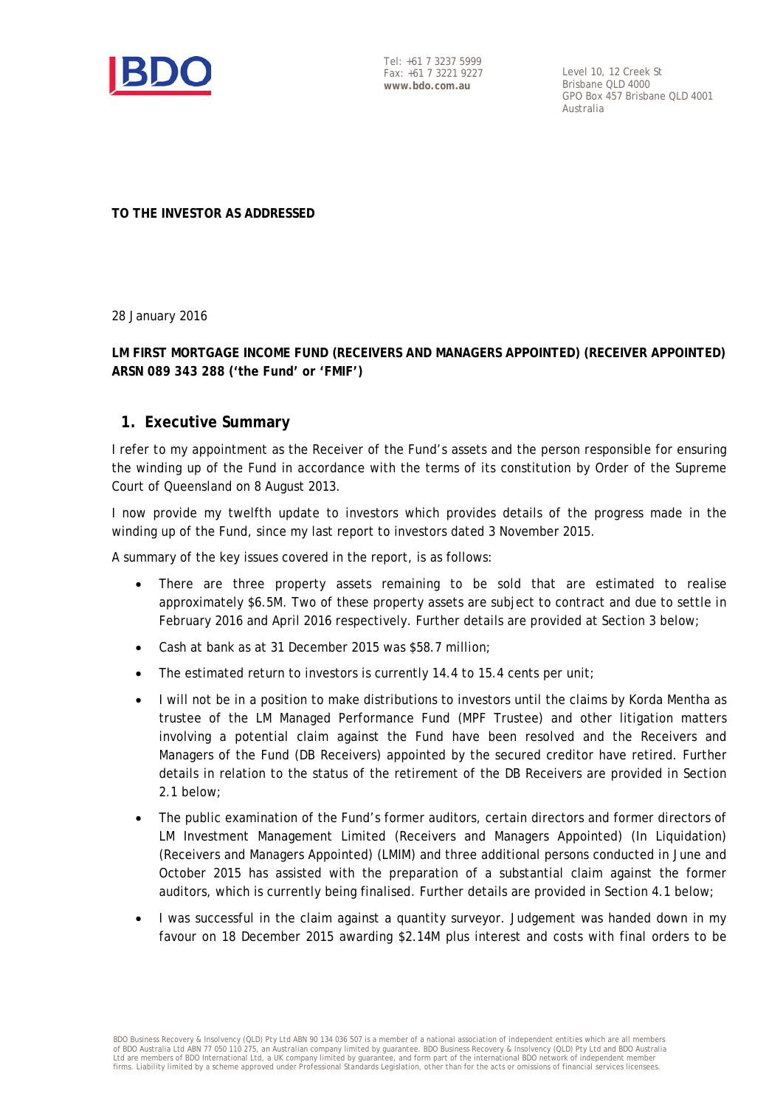

Tel: +61 7 3237 5999 Fax: +61 7 3221 9227 **www.bdo.com.au**

Level 10, 12 Creek St Brisbane QLD 4000 GPO Box 457 Brisbane QLD 4001 Australia

**TO THE INVESTOR AS ADDRESSED** 

28 January 2016

## **LM FIRST MORTGAGE INCOME FUND (RECEIVERS AND MANAGERS APPOINTED) (RECEIVER APPOINTED) ARSN 089 343 288 ('the Fund' or 'FMIF')**

## **1. Executive Summary**

I refer to my appointment as the Receiver of the Fund's assets and the person responsible for ensuring the winding up of the Fund in accordance with the terms of its constitution by Order of the Supreme Court of Queensland on 8 August 2013.

I now provide my twelfth update to investors which provides details of the progress made in the winding up of the Fund, since my last report to investors dated 3 November 2015.

A summary of the key issues covered in the report, is as follows:

- There are three property assets remaining to be sold that are estimated to realise approximately \$6.5M. Two of these property assets are subject to contract and due to settle in February 2016 and April 2016 respectively. Further details are provided at Section 3 below;
- Cash at bank as at 31 December 2015 was \$58.7 million;
- The estimated return to investors is currently 14.4 to 15.4 cents per unit;
- I will not be in a position to make distributions to investors until the claims by Korda Mentha as trustee of the LM Managed Performance Fund (MPF Trustee) and other litigation matters involving a potential claim against the Fund have been resolved and the Receivers and Managers of the Fund (DB Receivers) appointed by the secured creditor have retired. Further details in relation to the status of the retirement of the DB Receivers are provided in Section 2.1 below;
- The public examination of the Fund's former auditors, certain directors and former directors of LM Investment Management Limited (Receivers and Managers Appointed) (In Liquidation) (Receivers and Managers Appointed) (LMIM) and three additional persons conducted in June and October 2015 has assisted with the preparation of a substantial claim against the former auditors, which is currently being finalised. Further details are provided in Section 4.1 below;
- I was successful in the claim against a quantity surveyor. Judgement was handed down in my favour on 18 December 2015 awarding \$2.14M plus interest and costs with final orders to be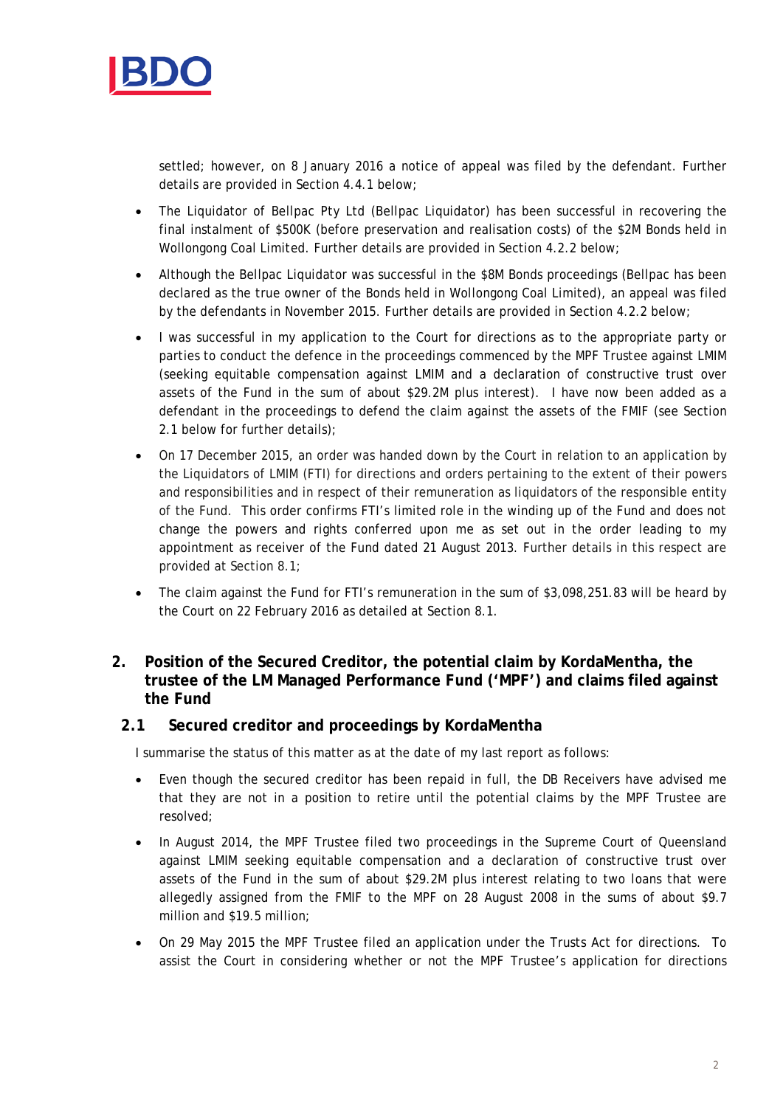

settled; however, on 8 January 2016 a notice of appeal was filed by the defendant. Further details are provided in Section 4.4.1 below;

- The Liquidator of Bellpac Pty Ltd (Bellpac Liquidator) has been successful in recovering the final instalment of \$500K (before preservation and realisation costs) of the \$2M Bonds held in Wollongong Coal Limited. Further details are provided in Section 4.2.2 below;
- Although the Bellpac Liquidator was successful in the \$8M Bonds proceedings (Bellpac has been declared as the true owner of the Bonds held in Wollongong Coal Limited), an appeal was filed by the defendants in November 2015. Further details are provided in Section 4.2.2 below;
- I was successful in my application to the Court for directions as to the appropriate party or parties to conduct the defence in the proceedings commenced by the MPF Trustee against LMIM (seeking equitable compensation against LMIM and a declaration of constructive trust over assets of the Fund in the sum of about \$29.2M plus interest). I have now been added as a defendant in the proceedings to defend the claim against the assets of the FMIF (see Section 2.1 below for further details);
- On 17 December 2015, an order was handed down by the Court in relation to an application by the Liquidators of LMIM (FTI) for directions and orders pertaining to the extent of their powers and responsibilities and in respect of their remuneration as liquidators of the responsible entity of the Fund. This order confirms FTI's limited role in the winding up of the Fund and does not change the powers and rights conferred upon me as set out in the order leading to my appointment as receiver of the Fund dated 21 August 2013. Further details in this respect are provided at Section 8.1;
- The claim against the Fund for FTI's remuneration in the sum of \$3,098,251.83 will be heard by the Court on 22 February 2016 as detailed at Section 8.1.

## **2. Position of the Secured Creditor, the potential claim by KordaMentha, the trustee of the LM Managed Performance Fund ('MPF') and claims filed against the Fund**

## **2.1 Secured creditor and proceedings by KordaMentha**

I summarise the status of this matter as at the date of my last report as follows:

- Even though the secured creditor has been repaid in full, the DB Receivers have advised me that they are not in a position to retire until the potential claims by the MPF Trustee are resolved;
- In August 2014, the MPF Trustee filed two proceedings in the Supreme Court of Queensland against LMIM seeking equitable compensation and a declaration of constructive trust over assets of the Fund in the sum of about \$29.2M plus interest relating to two loans that were allegedly assigned from the FMIF to the MPF on 28 August 2008 in the sums of about \$9.7 million and \$19.5 million;
- On 29 May 2015 the MPF Trustee filed an application under the Trusts Act for directions. To assist the Court in considering whether or not the MPF Trustee's application for directions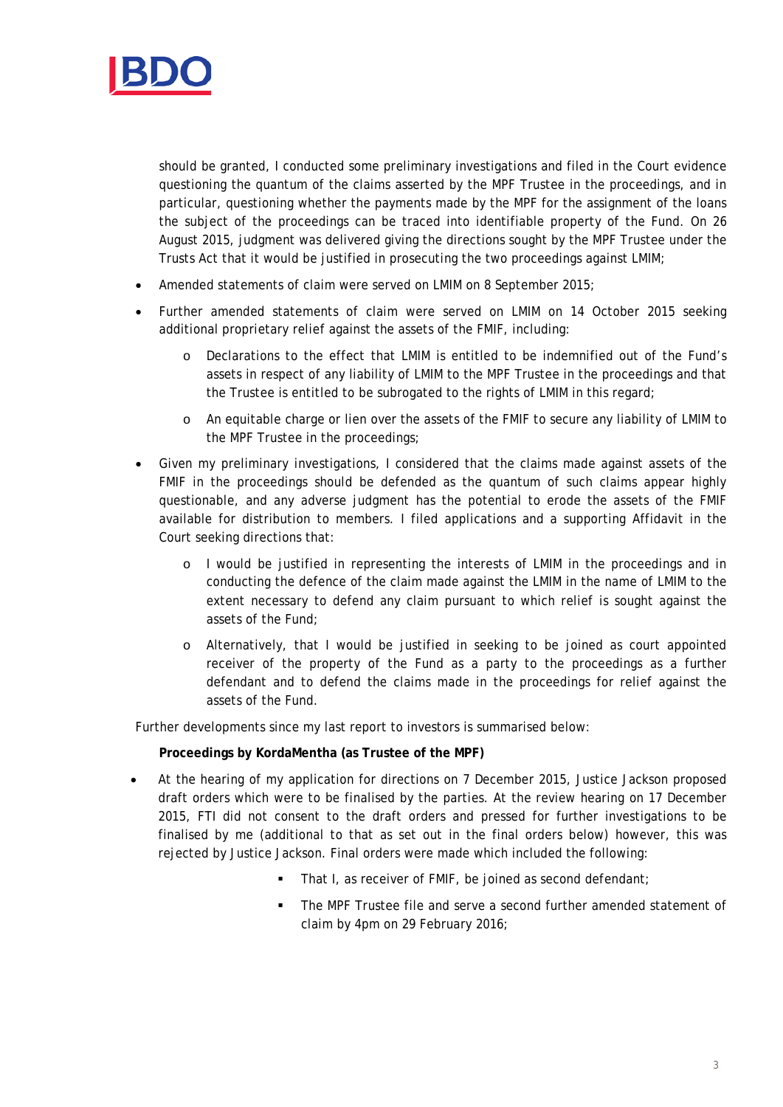

should be granted, I conducted some preliminary investigations and filed in the Court evidence questioning the quantum of the claims asserted by the MPF Trustee in the proceedings, and in particular, questioning whether the payments made by the MPF for the assignment of the loans the subject of the proceedings can be traced into identifiable property of the Fund. On 26 August 2015, judgment was delivered giving the directions sought by the MPF Trustee under the Trusts Act that it would be justified in prosecuting the two proceedings against LMIM;

- Amended statements of claim were served on LMIM on 8 September 2015;
- Further amended statements of claim were served on LMIM on 14 October 2015 seeking additional proprietary relief against the assets of the FMIF, including:
	- o Declarations to the effect that LMIM is entitled to be indemnified out of the Fund's assets in respect of any liability of LMIM to the MPF Trustee in the proceedings and that the Trustee is entitled to be subrogated to the rights of LMIM in this regard;
	- o An equitable charge or lien over the assets of the FMIF to secure any liability of LMIM to the MPF Trustee in the proceedings;
- Given my preliminary investigations, I considered that the claims made against assets of the FMIF in the proceedings should be defended as the quantum of such claims appear highly questionable, and any adverse judgment has the potential to erode the assets of the FMIF available for distribution to members. I filed applications and a supporting Affidavit in the Court seeking directions that:
	- o I would be justified in representing the interests of LMIM in the proceedings and in conducting the defence of the claim made against the LMIM in the name of LMIM to the extent necessary to defend any claim pursuant to which relief is sought against the assets of the Fund;
	- o Alternatively, that I would be justified in seeking to be joined as court appointed receiver of the property of the Fund as a party to the proceedings as a further defendant and to defend the claims made in the proceedings for relief against the assets of the Fund.

Further developments since my last report to investors is summarised below:

## **Proceedings by KordaMentha (as Trustee of the MPF)**

- At the hearing of my application for directions on 7 December 2015, Justice Jackson proposed draft orders which were to be finalised by the parties. At the review hearing on 17 December 2015, FTI did not consent to the draft orders and pressed for further investigations to be finalised by me (additional to that as set out in the final orders below) however, this was rejected by Justice Jackson. Final orders were made which included the following:
	- That I, as receiver of FMIF, be joined as second defendant;
	- The MPF Trustee file and serve a second further amended statement of claim by 4pm on 29 February 2016;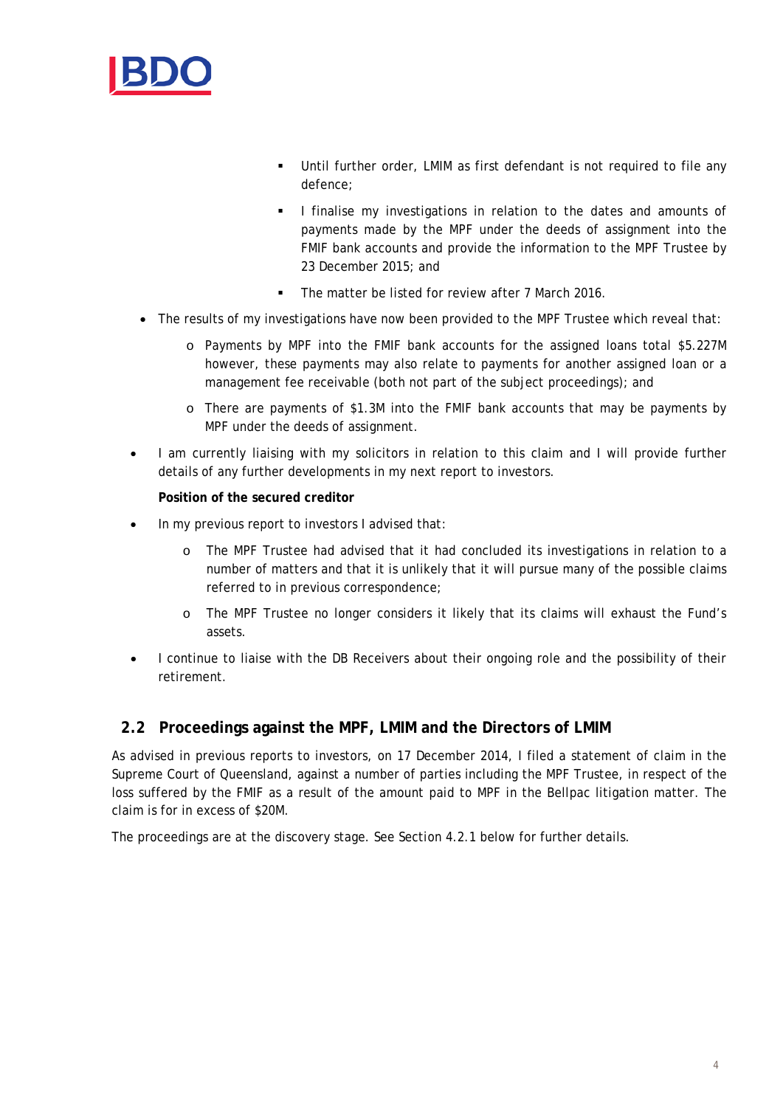

- Until further order, LMIM as first defendant is not required to file any defence;
- I finalise my investigations in relation to the dates and amounts of payments made by the MPF under the deeds of assignment into the FMIF bank accounts and provide the information to the MPF Trustee by 23 December 2015; and
- The matter be listed for review after 7 March 2016.
- The results of my investigations have now been provided to the MPF Trustee which reveal that:
	- o Payments by MPF into the FMIF bank accounts for the assigned loans total \$5.227M however, these payments may also relate to payments for another assigned loan or a management fee receivable (both not part of the subject proceedings); and
	- o There are payments of \$1.3M into the FMIF bank accounts that may be payments by MPF under the deeds of assignment.
- I am currently liaising with my solicitors in relation to this claim and I will provide further details of any further developments in my next report to investors.

## **Position of the secured creditor**

- In my previous report to investors I advised that:
	- o The MPF Trustee had advised that it had concluded its investigations in relation to a number of matters and that it is unlikely that it will pursue many of the possible claims referred to in previous correspondence;
	- o The MPF Trustee no longer considers it likely that its claims will exhaust the Fund's assets.
- I continue to liaise with the DB Receivers about their ongoing role and the possibility of their retirement.

## **2.2 Proceedings against the MPF, LMIM and the Directors of LMIM**

As advised in previous reports to investors, on 17 December 2014, I filed a statement of claim in the Supreme Court of Queensland, against a number of parties including the MPF Trustee, in respect of the loss suffered by the FMIF as a result of the amount paid to MPF in the Bellpac litigation matter. The claim is for in excess of \$20M.

The proceedings are at the discovery stage. See Section 4.2.1 below for further details.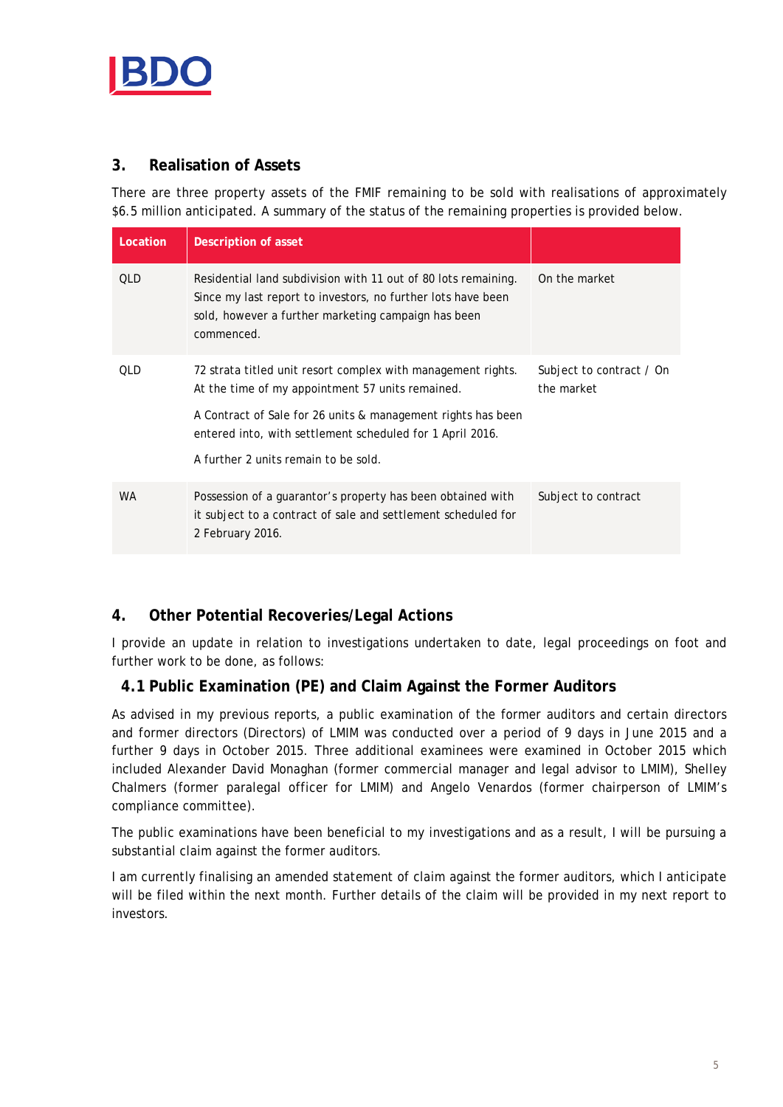

# **3. Realisation of Assets**

There are three property assets of the FMIF remaining to be sold with realisations of approximately \$6.5 million anticipated. A summary of the status of the remaining properties is provided below.

| Location   | Description of asset                                                                                                                                                                                                                                                                  |                                        |
|------------|---------------------------------------------------------------------------------------------------------------------------------------------------------------------------------------------------------------------------------------------------------------------------------------|----------------------------------------|
| <b>OLD</b> | Residential land subdivision with 11 out of 80 lots remaining.<br>Since my last report to investors, no further lots have been<br>sold, however a further marketing campaign has been<br>commenced.                                                                                   | On the market                          |
| <b>OLD</b> | 72 strata titled unit resort complex with management rights.<br>At the time of my appointment 57 units remained.<br>A Contract of Sale for 26 units & management rights has been<br>entered into, with settlement scheduled for 1 April 2016.<br>A further 2 units remain to be sold. | Subject to contract / On<br>the market |
| <b>WA</b>  | Possession of a quarantor's property has been obtained with<br>it subject to a contract of sale and settlement scheduled for<br>2 February 2016.                                                                                                                                      | Subject to contract                    |

# **4. Other Potential Recoveries/Legal Actions**

I provide an update in relation to investigations undertaken to date, legal proceedings on foot and further work to be done, as follows:

## **4.1 Public Examination (PE) and Claim Against the Former Auditors**

As advised in my previous reports, a public examination of the former auditors and certain directors and former directors (Directors) of LMIM was conducted over a period of 9 days in June 2015 and a further 9 days in October 2015. Three additional examinees were examined in October 2015 which included Alexander David Monaghan (former commercial manager and legal advisor to LMIM), Shelley Chalmers (former paralegal officer for LMIM) and Angelo Venardos (former chairperson of LMIM's compliance committee).

The public examinations have been beneficial to my investigations and as a result, I will be pursuing a substantial claim against the former auditors.

I am currently finalising an amended statement of claim against the former auditors, which I anticipate will be filed within the next month. Further details of the claim will be provided in my next report to investors.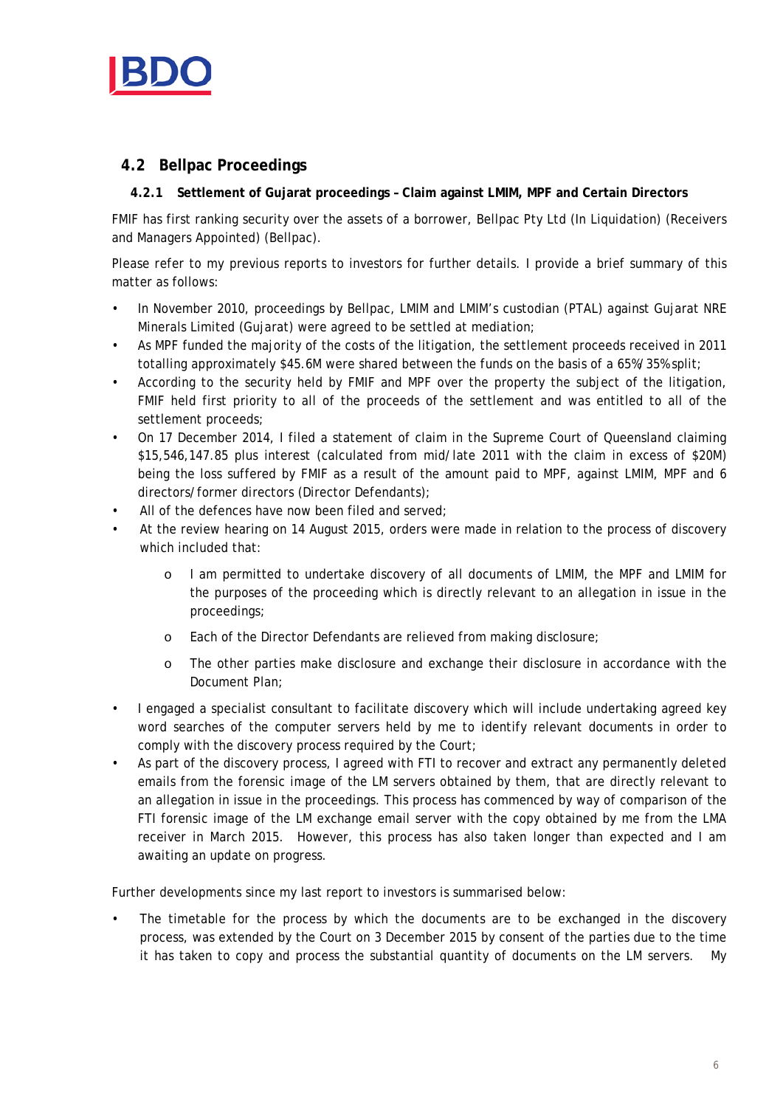

# **4.2 Bellpac Proceedings**

## **4.2.1 Settlement of Gujarat proceedings – Claim against LMIM, MPF and Certain Directors**

FMIF has first ranking security over the assets of a borrower, Bellpac Pty Ltd (In Liquidation) (Receivers and Managers Appointed) (Bellpac).

Please refer to my previous reports to investors for further details. I provide a brief summary of this matter as follows:

- In November 2010, proceedings by Bellpac, LMIM and LMIM's custodian (PTAL) against Gujarat NRE Minerals Limited (Gujarat) were agreed to be settled at mediation;
- As MPF funded the majority of the costs of the litigation, the settlement proceeds received in 2011 totalling approximately \$45.6M were shared between the funds on the basis of a 65%/35% split;
- According to the security held by FMIF and MPF over the property the subject of the litigation, FMIF held first priority to all of the proceeds of the settlement and was entitled to all of the settlement proceeds;
- On 17 December 2014, I filed a statement of claim in the Supreme Court of Queensland claiming \$15,546,147.85 plus interest (calculated from mid/late 2011 with the claim in excess of \$20M) being the loss suffered by FMIF as a result of the amount paid to MPF, against LMIM, MPF and 6 directors/former directors (Director Defendants);
- All of the defences have now been filed and served;
- At the review hearing on 14 August 2015, orders were made in relation to the process of discovery which included that:
	- o I am permitted to undertake discovery of all documents of LMIM, the MPF and LMIM for the purposes of the proceeding which is directly relevant to an allegation in issue in the proceedings;
	- o Each of the Director Defendants are relieved from making disclosure;
	- o The other parties make disclosure and exchange their disclosure in accordance with the Document Plan;
- I engaged a specialist consultant to facilitate discovery which will include undertaking agreed key word searches of the computer servers held by me to identify relevant documents in order to comply with the discovery process required by the Court;
- As part of the discovery process, I agreed with FTI to recover and extract any permanently deleted emails from the forensic image of the LM servers obtained by them, that are directly relevant to an allegation in issue in the proceedings. This process has commenced by way of comparison of the FTI forensic image of the LM exchange email server with the copy obtained by me from the LMA receiver in March 2015. However, this process has also taken longer than expected and I am awaiting an update on progress.

Further developments since my last report to investors is summarised below:

The timetable for the process by which the documents are to be exchanged in the discovery process, was extended by the Court on 3 December 2015 by consent of the parties due to the time it has taken to copy and process the substantial quantity of documents on the LM servers. My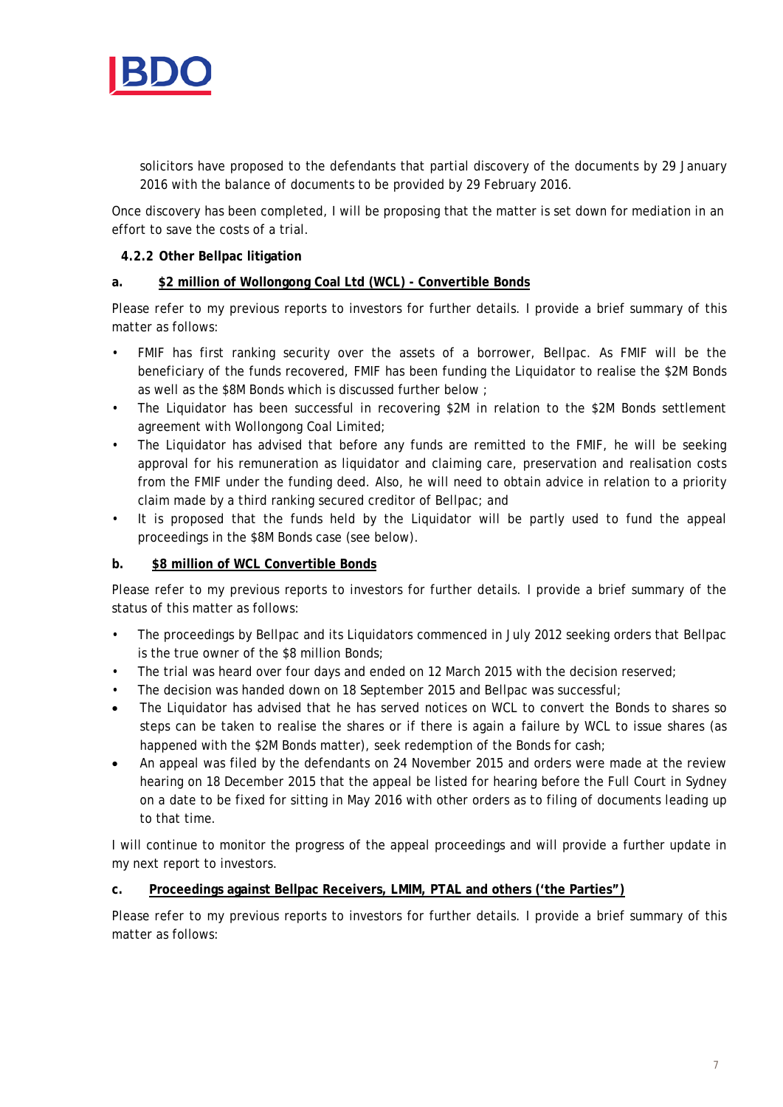

solicitors have proposed to the defendants that partial discovery of the documents by 29 January 2016 with the balance of documents to be provided by 29 February 2016.

Once discovery has been completed, I will be proposing that the matter is set down for mediation in an effort to save the costs of a trial.

## **4.2.2 Other Bellpac litigation**

## **a. \$2 million of Wollongong Coal Ltd (WCL) - Convertible Bonds**

Please refer to my previous reports to investors for further details. I provide a brief summary of this matter as follows:

- FMIF has first ranking security over the assets of a borrower, Bellpac. As FMIF will be the beneficiary of the funds recovered, FMIF has been funding the Liquidator to realise the \$2M Bonds as well as the \$8M Bonds which is discussed further below ;
- The Liquidator has been successful in recovering \$2M in relation to the \$2M Bonds settlement agreement with Wollongong Coal Limited;
- The Liquidator has advised that before any funds are remitted to the FMIF, he will be seeking approval for his remuneration as liquidator and claiming care, preservation and realisation costs from the FMIF under the funding deed. Also, he will need to obtain advice in relation to a priority claim made by a third ranking secured creditor of Bellpac; and
- It is proposed that the funds held by the Liquidator will be partly used to fund the appeal proceedings in the \$8M Bonds case (see below).

## **b. \$8 million of WCL Convertible Bonds**

Please refer to my previous reports to investors for further details. I provide a brief summary of the status of this matter as follows:

- The proceedings by Bellpac and its Liquidators commenced in July 2012 seeking orders that Bellpac is the true owner of the \$8 million Bonds;
- The trial was heard over four days and ended on 12 March 2015 with the decision reserved;
- The decision was handed down on 18 September 2015 and Bellpac was successful;
- The Liquidator has advised that he has served notices on WCL to convert the Bonds to shares so steps can be taken to realise the shares or if there is again a failure by WCL to issue shares (as happened with the \$2M Bonds matter), seek redemption of the Bonds for cash;
- An appeal was filed by the defendants on 24 November 2015 and orders were made at the review hearing on 18 December 2015 that the appeal be listed for hearing before the Full Court in Sydney on a date to be fixed for sitting in May 2016 with other orders as to filing of documents leading up to that time.

I will continue to monitor the progress of the appeal proceedings and will provide a further update in my next report to investors.

## **c. Proceedings against Bellpac Receivers, LMIM, PTAL and others ('the Parties")**

Please refer to my previous reports to investors for further details. I provide a brief summary of this matter as follows: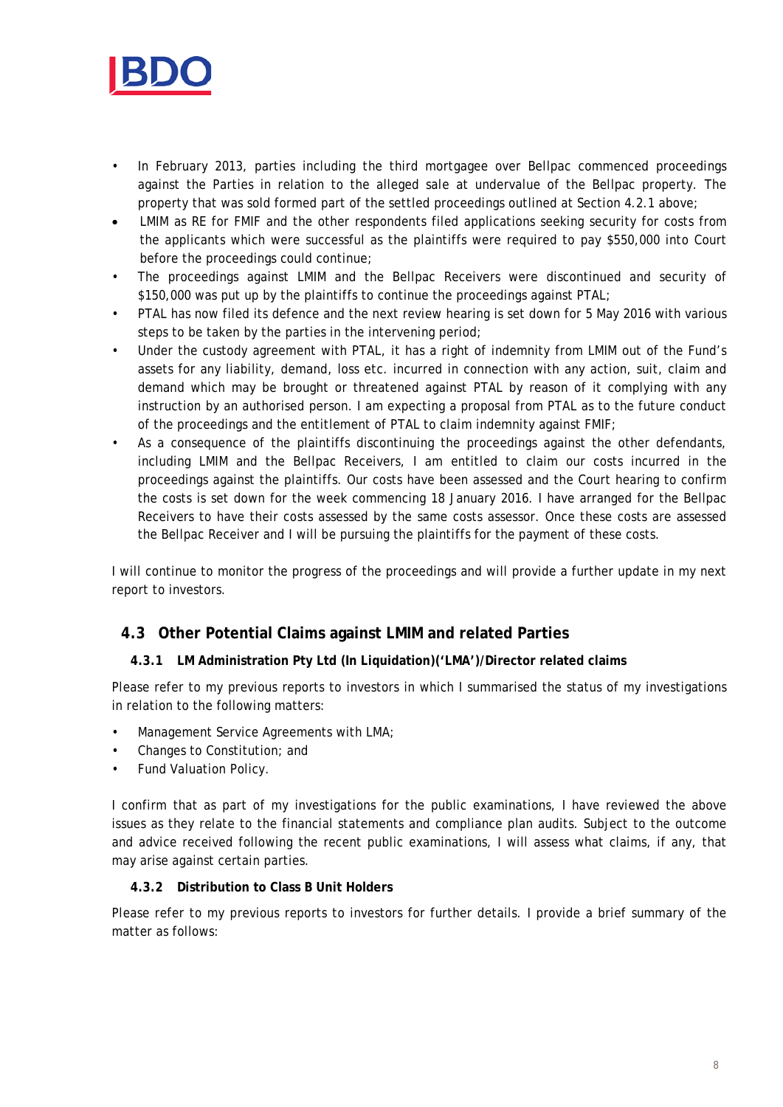

- In February 2013, parties including the third mortgagee over Bellpac commenced proceedings against the Parties in relation to the alleged sale at undervalue of the Bellpac property. The property that was sold formed part of the settled proceedings outlined at Section 4.2.1 above;
- LMIM as RE for FMIF and the other respondents filed applications seeking security for costs from the applicants which were successful as the plaintiffs were required to pay \$550,000 into Court before the proceedings could continue;
- The proceedings against LMIM and the Bellpac Receivers were discontinued and security of \$150,000 was put up by the plaintiffs to continue the proceedings against PTAL;
- PTAL has now filed its defence and the next review hearing is set down for 5 May 2016 with various steps to be taken by the parties in the intervening period;
- Under the custody agreement with PTAL, it has a right of indemnity from LMIM out of the Fund's assets for any liability, demand, loss etc. incurred in connection with any action, suit, claim and demand which may be brought or threatened against PTAL by reason of it complying with any instruction by an authorised person. I am expecting a proposal from PTAL as to the future conduct of the proceedings and the entitlement of PTAL to claim indemnity against FMIF;
- As a consequence of the plaintiffs discontinuing the proceedings against the other defendants, including LMIM and the Bellpac Receivers, I am entitled to claim our costs incurred in the proceedings against the plaintiffs. Our costs have been assessed and the Court hearing to confirm the costs is set down for the week commencing 18 January 2016. I have arranged for the Bellpac Receivers to have their costs assessed by the same costs assessor. Once these costs are assessed the Bellpac Receiver and I will be pursuing the plaintiffs for the payment of these costs.

I will continue to monitor the progress of the proceedings and will provide a further update in my next report to investors.

# **4.3 Other Potential Claims against LMIM and related Parties**

## **4.3.1 LM Administration Pty Ltd (In Liquidation)('LMA')/Director related claims**

Please refer to my previous reports to investors in which I summarised the status of my investigations in relation to the following matters:

- Management Service Agreements with LMA;
- Changes to Constitution; and
- Fund Valuation Policy.

I confirm that as part of my investigations for the public examinations, I have reviewed the above issues as they relate to the financial statements and compliance plan audits. Subject to the outcome and advice received following the recent public examinations, I will assess what claims, if any, that may arise against certain parties.

## **4.3.2 Distribution to Class B Unit Holders**

Please refer to my previous reports to investors for further details. I provide a brief summary of the matter as follows: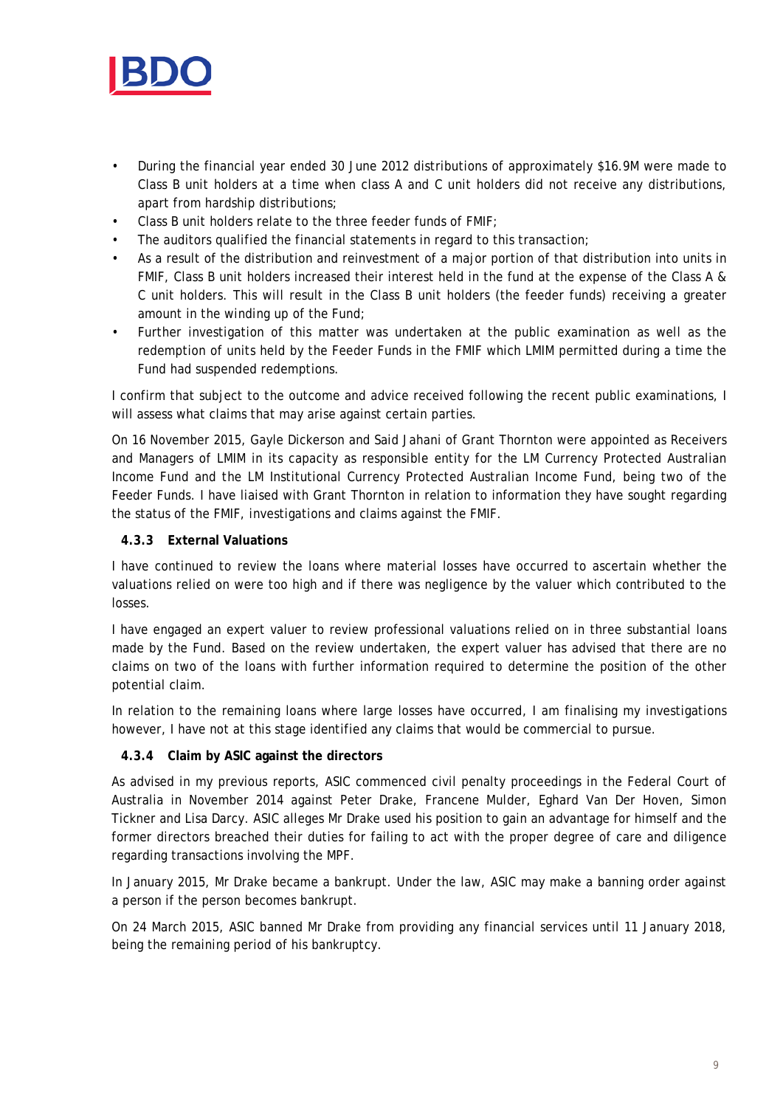

- During the financial year ended 30 June 2012 distributions of approximately \$16.9M were made to Class B unit holders at a time when class A and C unit holders did not receive any distributions, apart from hardship distributions;
- Class B unit holders relate to the three feeder funds of FMIF;
- The auditors qualified the financial statements in regard to this transaction;
- As a result of the distribution and reinvestment of a major portion of that distribution into units in FMIF, Class B unit holders increased their interest held in the fund at the expense of the Class A & C unit holders. This will result in the Class B unit holders (the feeder funds) receiving a greater amount in the winding up of the Fund;
- Further investigation of this matter was undertaken at the public examination as well as the redemption of units held by the Feeder Funds in the FMIF which LMIM permitted during a time the Fund had suspended redemptions.

I confirm that subject to the outcome and advice received following the recent public examinations, I will assess what claims that may arise against certain parties.

On 16 November 2015, Gayle Dickerson and Said Jahani of Grant Thornton were appointed as Receivers and Managers of LMIM in its capacity as responsible entity for the LM Currency Protected Australian Income Fund and the LM Institutional Currency Protected Australian Income Fund, being two of the Feeder Funds. I have liaised with Grant Thornton in relation to information they have sought regarding the status of the FMIF, investigations and claims against the FMIF.

## **4.3.3 External Valuations**

I have continued to review the loans where material losses have occurred to ascertain whether the valuations relied on were too high and if there was negligence by the valuer which contributed to the losses.

I have engaged an expert valuer to review professional valuations relied on in three substantial loans made by the Fund. Based on the review undertaken, the expert valuer has advised that there are no claims on two of the loans with further information required to determine the position of the other potential claim.

In relation to the remaining loans where large losses have occurred, I am finalising my investigations however, I have not at this stage identified any claims that would be commercial to pursue.

## **4.3.4 Claim by ASIC against the directors**

As advised in my previous reports, ASIC commenced civil penalty proceedings in the Federal Court of Australia in November 2014 against Peter Drake, Francene Mulder, Eghard Van Der Hoven, Simon Tickner and Lisa Darcy. ASIC alleges Mr Drake used his position to gain an advantage for himself and the former directors breached their duties for failing to act with the proper degree of care and diligence regarding transactions involving the MPF.

In January 2015, Mr Drake became a bankrupt. Under the law, ASIC may make a banning order against a person if the person becomes bankrupt.

On 24 March 2015, ASIC banned Mr Drake from providing any financial services until 11 January 2018, being the remaining period of his bankruptcy.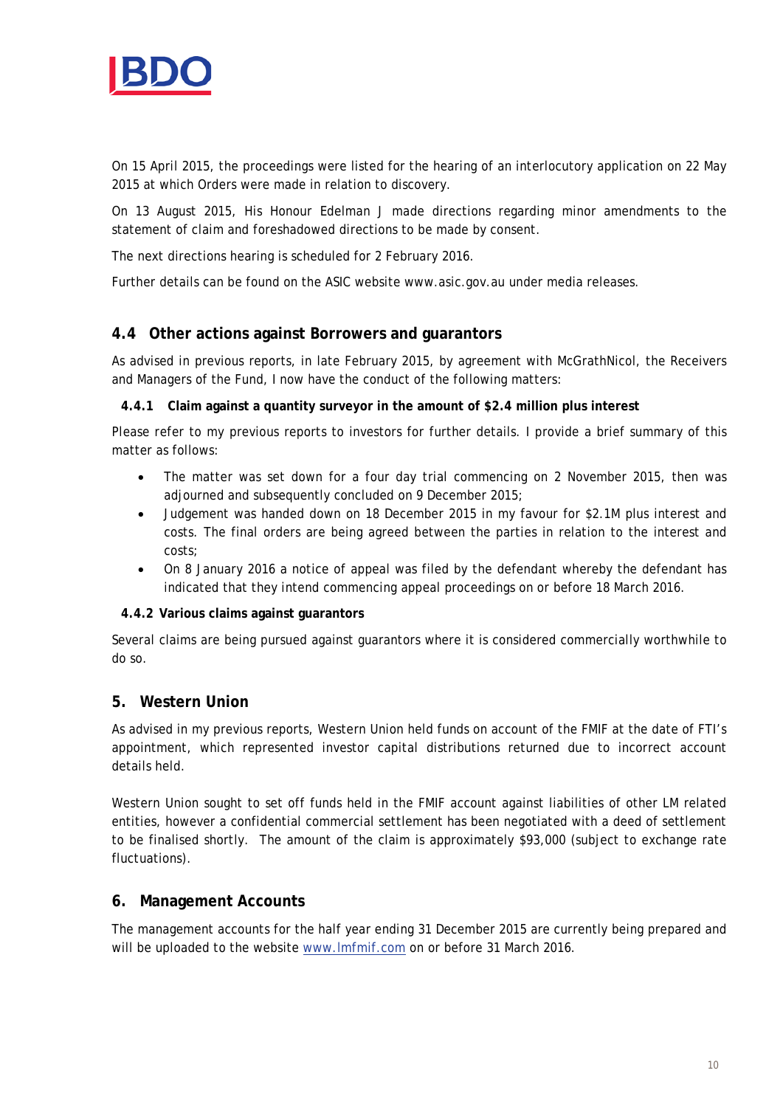

On 15 April 2015, the proceedings were listed for the hearing of an interlocutory application on 22 May 2015 at which Orders were made in relation to discovery.

On 13 August 2015, His Honour Edelman J made directions regarding minor amendments to the statement of claim and foreshadowed directions to be made by consent.

The next directions hearing is scheduled for 2 February 2016.

Further details can be found on the ASIC website www.asic.gov.au under media releases.

## **4.4 Other actions against Borrowers and guarantors**

As advised in previous reports, in late February 2015, by agreement with McGrathNicol, the Receivers and Managers of the Fund, I now have the conduct of the following matters:

## **4.4.1 Claim against a quantity surveyor in the amount of \$2.4 million plus interest**

Please refer to my previous reports to investors for further details. I provide a brief summary of this matter as follows:

- The matter was set down for a four day trial commencing on 2 November 2015, then was adjourned and subsequently concluded on 9 December 2015;
- Judgement was handed down on 18 December 2015 in my favour for \$2.1M plus interest and costs. The final orders are being agreed between the parties in relation to the interest and costs;
- On 8 January 2016 a notice of appeal was filed by the defendant whereby the defendant has indicated that they intend commencing appeal proceedings on or before 18 March 2016.

## **4.4.2 Various claims against guarantors**

Several claims are being pursued against guarantors where it is considered commercially worthwhile to do so.

## **5. Western Union**

As advised in my previous reports, Western Union held funds on account of the FMIF at the date of FTI's appointment, which represented investor capital distributions returned due to incorrect account details held.

Western Union sought to set off funds held in the FMIF account against liabilities of other LM related entities, however a confidential commercial settlement has been negotiated with a deed of settlement to be finalised shortly. The amount of the claim is approximately \$93,000 (subject to exchange rate fluctuations).

## **6. Management Accounts**

The management accounts for the half year ending 31 December 2015 are currently being prepared and will be uploaded to the website [www.lmfmif.com](http://www.lmfmif.com/) on or before 31 March 2016.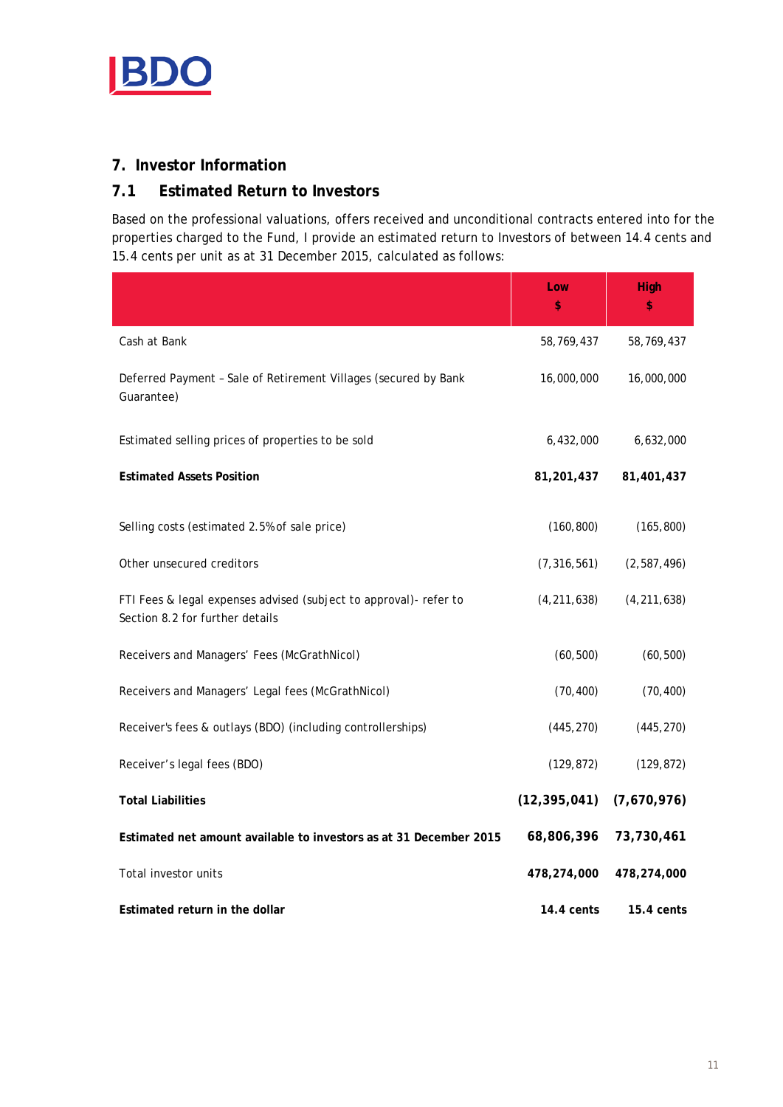

# **7. Investor Information**

# **7.1 Estimated Return to Investors**

Based on the professional valuations, offers received and unconditional contracts entered into for the properties charged to the Fund, I provide an estimated return to Investors of between 14.4 cents and 15.4 cents per unit as at 31 December 2015, calculated as follows:

|                                                                                                      | Low<br>\$      | High<br>\$    |
|------------------------------------------------------------------------------------------------------|----------------|---------------|
| Cash at Bank                                                                                         | 58,769,437     | 58,769,437    |
| Deferred Payment - Sale of Retirement Villages (secured by Bank<br>Guarantee)                        | 16,000,000     | 16,000,000    |
| Estimated selling prices of properties to be sold                                                    | 6,432,000      | 6,632,000     |
| <b>Estimated Assets Position</b>                                                                     | 81,201,437     | 81,401,437    |
| Selling costs (estimated 2.5% of sale price)                                                         | (160, 800)     | (165, 800)    |
| Other unsecured creditors                                                                            | (7, 316, 561)  | (2, 587, 496) |
| FTI Fees & legal expenses advised (subject to approval)- refer to<br>Section 8.2 for further details | (4, 211, 638)  | (4, 211, 638) |
| Receivers and Managers' Fees (McGrathNicol)                                                          | (60, 500)      | (60, 500)     |
| Receivers and Managers' Legal fees (McGrathNicol)                                                    | (70, 400)      | (70, 400)     |
| Receiver's fees & outlays (BDO) (including controllerships)                                          | (445, 270)     | (445, 270)    |
| Receiver's legal fees (BDO)                                                                          | (129, 872)     | (129, 872)    |
| <b>Total Liabilities</b>                                                                             | (12, 395, 041) | (7,670,976)   |
| Estimated net amount available to investors as at 31 December 2015                                   | 68,806,396     | 73,730,461    |
| Total investor units                                                                                 | 478,274,000    | 478,274,000   |
| Estimated return in the dollar                                                                       | 14.4 cents     | 15.4 cents    |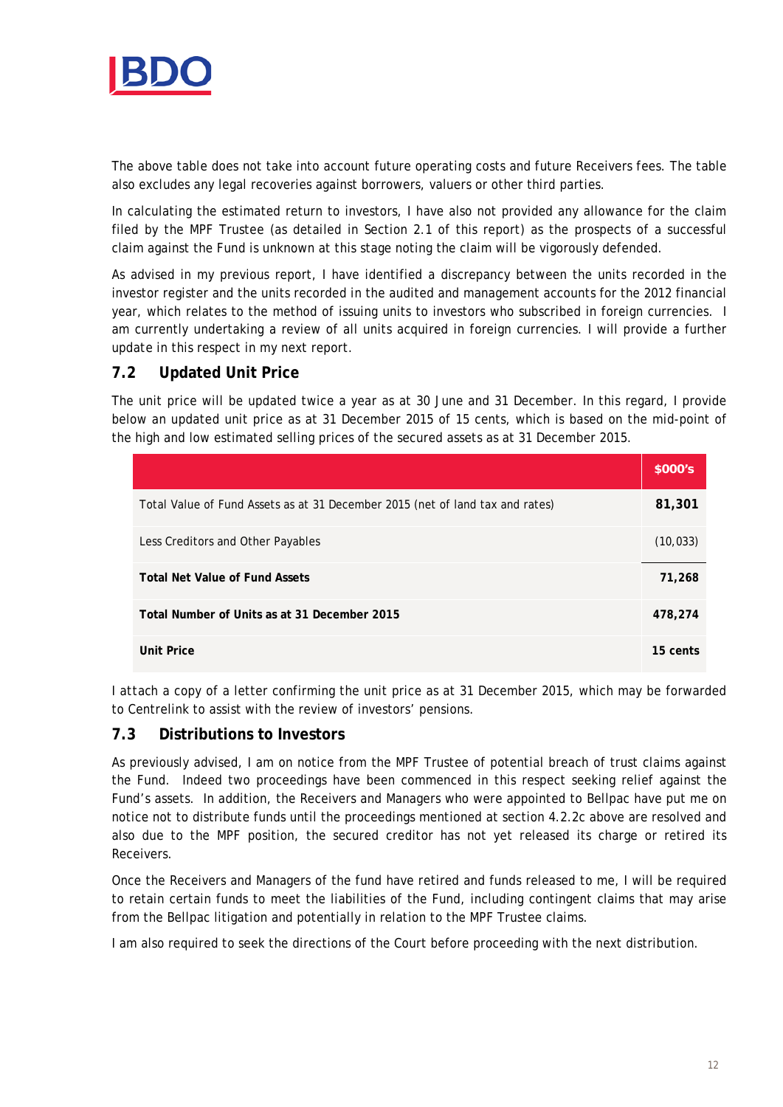

The above table does not take into account future operating costs and future Receivers fees. The table also excludes any legal recoveries against borrowers, valuers or other third parties.

In calculating the estimated return to investors, I have also not provided any allowance for the claim filed by the MPF Trustee (as detailed in Section 2.1 of this report) as the prospects of a successful claim against the Fund is unknown at this stage noting the claim will be vigorously defended.

As advised in my previous report, I have identified a discrepancy between the units recorded in the investor register and the units recorded in the audited and management accounts for the 2012 financial year, which relates to the method of issuing units to investors who subscribed in foreign currencies. I am currently undertaking a review of all units acquired in foreign currencies. I will provide a further update in this respect in my next report.

## **7.2 Updated Unit Price**

The unit price will be updated twice a year as at 30 June and 31 December. In this regard, I provide below an updated unit price as at 31 December 2015 of 15 cents, which is based on the mid-point of the high and low estimated selling prices of the secured assets as at 31 December 2015.

|                                                                               | \$000's   |
|-------------------------------------------------------------------------------|-----------|
| Total Value of Fund Assets as at 31 December 2015 (net of land tax and rates) | 81,301    |
| Less Creditors and Other Payables                                             | (10, 033) |
| <b>Total Net Value of Fund Assets</b>                                         | 71,268    |
| Total Number of Units as at 31 December 2015                                  | 478,274   |
| <b>Unit Price</b>                                                             | 15 cents  |

I *attach* a copy of a letter confirming the unit price as at 31 December 2015, which may be forwarded to Centrelink to assist with the review of investors' pensions.

## **7.3 Distributions to Investors**

As previously advised, I am on notice from the MPF Trustee of potential breach of trust claims against the Fund. Indeed two proceedings have been commenced in this respect seeking relief against the Fund's assets. In addition, the Receivers and Managers who were appointed to Bellpac have put me on notice not to distribute funds until the proceedings mentioned at section 4.2.2c above are resolved and also due to the MPF position, the secured creditor has not yet released its charge or retired its Receivers.

Once the Receivers and Managers of the fund have retired and funds released to me, I will be required to retain certain funds to meet the liabilities of the Fund, including contingent claims that may arise from the Bellpac litigation and potentially in relation to the MPF Trustee claims.

I am also required to seek the directions of the Court before proceeding with the next distribution.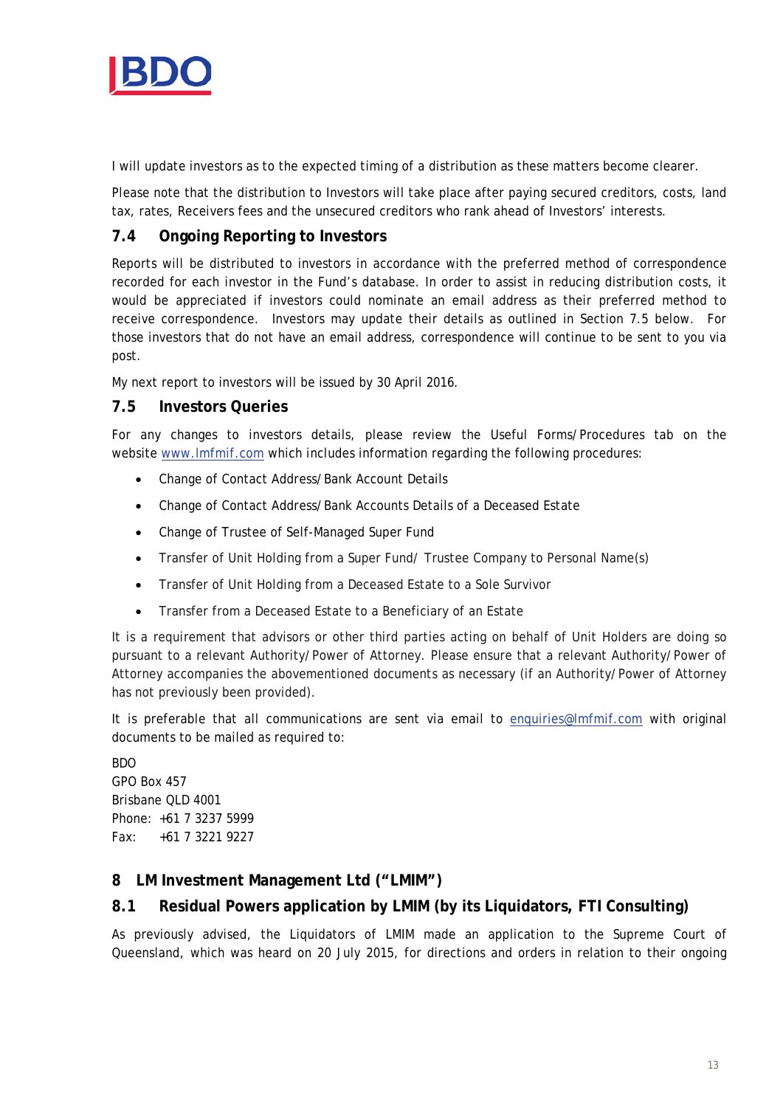

I will update investors as to the expected timing of a distribution as these matters become clearer.

Please note that the distribution to Investors will take place after paying secured creditors, costs, land tax, rates, Receivers fees and the unsecured creditors who rank ahead of Investors' interests.

# **7.4 Ongoing Reporting to Investors**

Reports will be distributed to investors in accordance with the preferred method of correspondence recorded for each investor in the Fund's database. In order to assist in reducing distribution costs, it would be appreciated if investors could nominate an email address as their preferred method to receive correspondence. Investors may update their details as outlined in Section 7.5 below. For those investors that do not have an email address, correspondence will continue to be sent to you via post.

My next report to investors will be issued by 30 April 2016.

## **7.5 Investors Queries**

For any changes to investors details, please review the Useful Forms/Procedures tab on the website [www.lmfmif.com](http://www.lmfmif.com/) which includes information regarding the following procedures:

- Change of Contact Address/Bank Account Details
- Change of Contact Address/Bank Accounts Details of a Deceased Estate
- Change of Trustee of Self-Managed Super Fund
- Transfer of Unit Holding from a Super Fund/ Trustee Company to Personal Name(s)
- Transfer of Unit Holding from a Deceased Estate to a Sole Survivor
- Transfer from a Deceased Estate to a Beneficiary of an Estate

It is a requirement that advisors or other third parties acting on behalf of Unit Holders are doing so pursuant to a relevant Authority/Power of Attorney. Please ensure that a relevant Authority/Power of Attorney accompanies the abovementioned documents as necessary (if an Authority/Power of Attorney has not previously been provided).

It is preferable that all communications are sent via email to [enquiries@lmfmif.com](mailto:enquiries@lmfmif.com) with original documents to be mailed as required to:

BDO GPO Box 457 Brisbane QLD 4001 Phone: +61 7 3237 5999 Fax: +61 7 3221 9227

## **8 LM Investment Management Ltd ("LMIM")**

## **8.1 Residual Powers application by LMIM (by its Liquidators, FTI Consulting)**

As previously advised, the Liquidators of LMIM made an application to the Supreme Court of Queensland, which was heard on 20 July 2015, for directions and orders in relation to their ongoing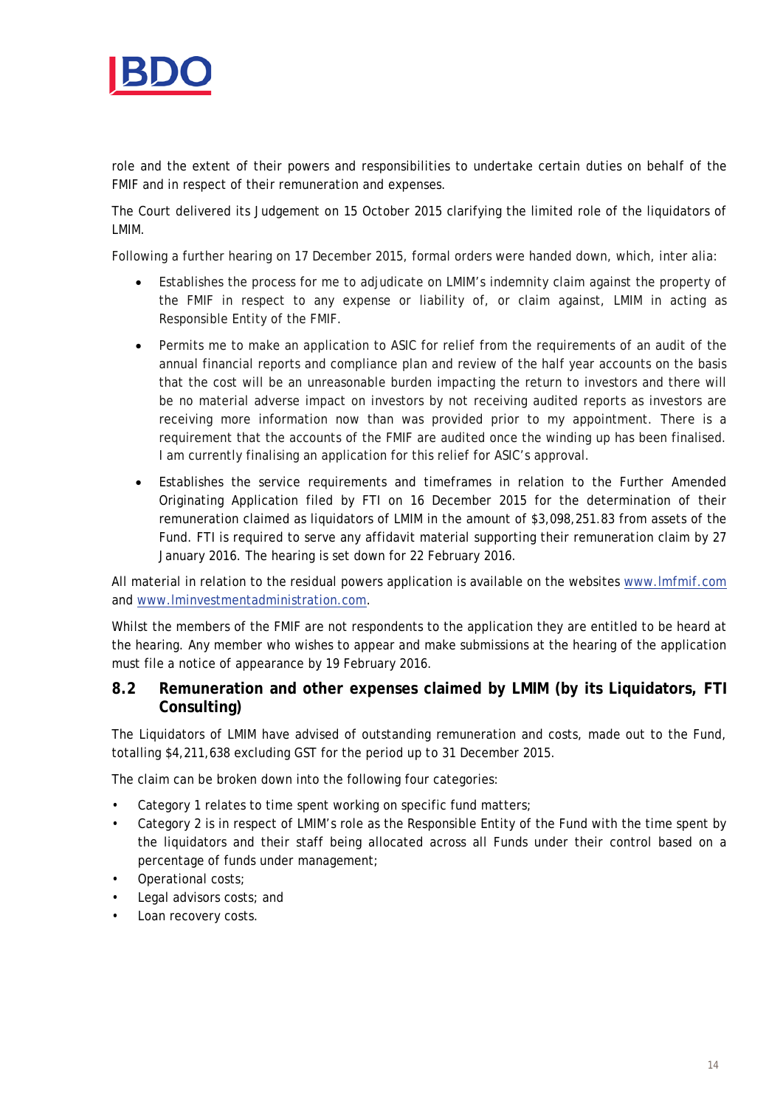

role and the extent of their powers and responsibilities to undertake certain duties on behalf of the FMIF and in respect of their remuneration and expenses.

The Court delivered its Judgement on 15 October 2015 clarifying the limited role of the liquidators of LMIM.

Following a further hearing on 17 December 2015, formal orders were handed down, which, inter alia:

- Establishes the process for me to adjudicate on LMIM's indemnity claim against the property of the FMIF in respect to any expense or liability of, or claim against, LMIM in acting as Responsible Entity of the FMIF.
- Permits me to make an application to ASIC for relief from the requirements of an audit of the annual financial reports and compliance plan and review of the half year accounts on the basis that the cost will be an unreasonable burden impacting the return to investors and there will be no material adverse impact on investors by not receiving audited reports as investors are receiving more information now than was provided prior to my appointment. There is a requirement that the accounts of the FMIF are audited once the winding up has been finalised. I am currently finalising an application for this relief for ASIC's approval.
- Establishes the service requirements and timeframes in relation to the Further Amended Originating Application filed by FTI on 16 December 2015 for the determination of their remuneration claimed as liquidators of LMIM in the amount of \$3,098,251.83 from assets of the Fund. FTI is required to serve any affidavit material supporting their remuneration claim by 27 January 2016. The hearing is set down for 22 February 2016.

All material in relation to the residual powers application is available on the websites [www.lmfmif.com](http://www.lmfmif.com/) and [www.lminvestmentadministration.com.](http://www.lminvestmentadministration.com/)

Whilst the members of the FMIF are not respondents to the application they are entitled to be heard at the hearing. Any member who wishes to appear and make submissions at the hearing of the application must file a notice of appearance by 19 February 2016.

## **8.2 Remuneration and other expenses claimed by LMIM (by its Liquidators, FTI Consulting)**

The Liquidators of LMIM have advised of outstanding remuneration and costs, made out to the Fund, totalling \$4,211,638 excluding GST for the period up to 31 December 2015.

The claim can be broken down into the following four categories:

- Category 1 relates to time spent working on specific fund matters;
- Category 2 is in respect of LMIM's role as the Responsible Entity of the Fund with the time spent by the liquidators and their staff being allocated across all Funds under their control based on a percentage of funds under management;
- Operational costs;
- Legal advisors costs; and
- Loan recovery costs.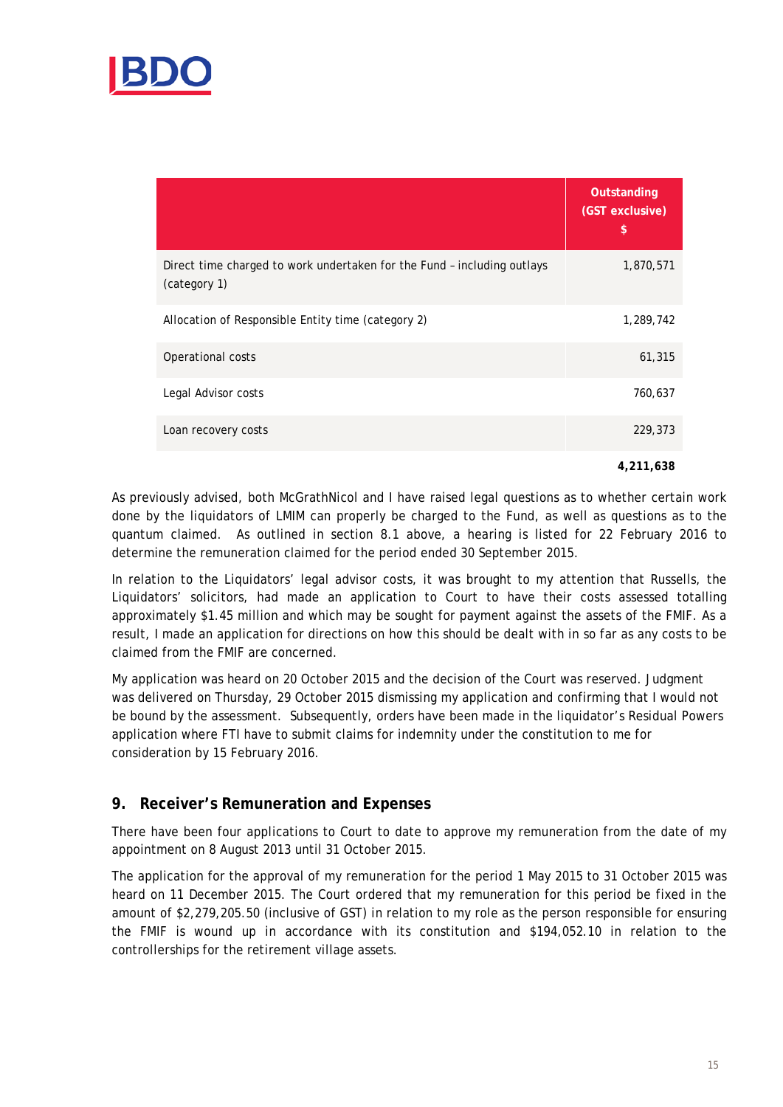

|                                                                                         | Outstanding<br>(GST exclusive)<br>\$ |
|-----------------------------------------------------------------------------------------|--------------------------------------|
| Direct time charged to work undertaken for the Fund - including outlays<br>(category 1) | 1,870,571                            |
| Allocation of Responsible Entity time (category 2)                                      | 1,289,742                            |
| Operational costs                                                                       | 61,315                               |
| Legal Advisor costs                                                                     | 760,637                              |
| Loan recovery costs                                                                     | 229,373                              |
|                                                                                         | 4.211.638                            |

As previously advised, both McGrathNicol and I have raised legal questions as to whether certain work done by the liquidators of LMIM can properly be charged to the Fund, as well as questions as to the quantum claimed. As outlined in section 8.1 above, a hearing is listed for 22 February 2016 to determine the remuneration claimed for the period ended 30 September 2015.

In relation to the Liquidators' legal advisor costs, it was brought to my attention that Russells, the Liquidators' solicitors, had made an application to Court to have their costs assessed totalling approximately \$1.45 million and which may be sought for payment against the assets of the FMIF. As a result, I made an application for directions on how this should be dealt with in so far as any costs to be claimed from the FMIF are concerned.

My application was heard on 20 October 2015 and the decision of the Court was reserved. Judgment was delivered on Thursday, 29 October 2015 dismissing my application and confirming that I would not be bound by the assessment. Subsequently, orders have been made in the liquidator's Residual Powers application where FTI have to submit claims for indemnity under the constitution to me for consideration by 15 February 2016.

## **9. Receiver's Remuneration and Expenses**

There have been four applications to Court to date to approve my remuneration from the date of my appointment on 8 August 2013 until 31 October 2015.

The application for the approval of my remuneration for the period 1 May 2015 to 31 October 2015 was heard on 11 December 2015. The Court ordered that my remuneration for this period be fixed in the amount of \$2,279,205.50 (inclusive of GST) in relation to my role as the person responsible for ensuring the FMIF is wound up in accordance with its constitution and \$194,052.10 in relation to the controllerships for the retirement village assets.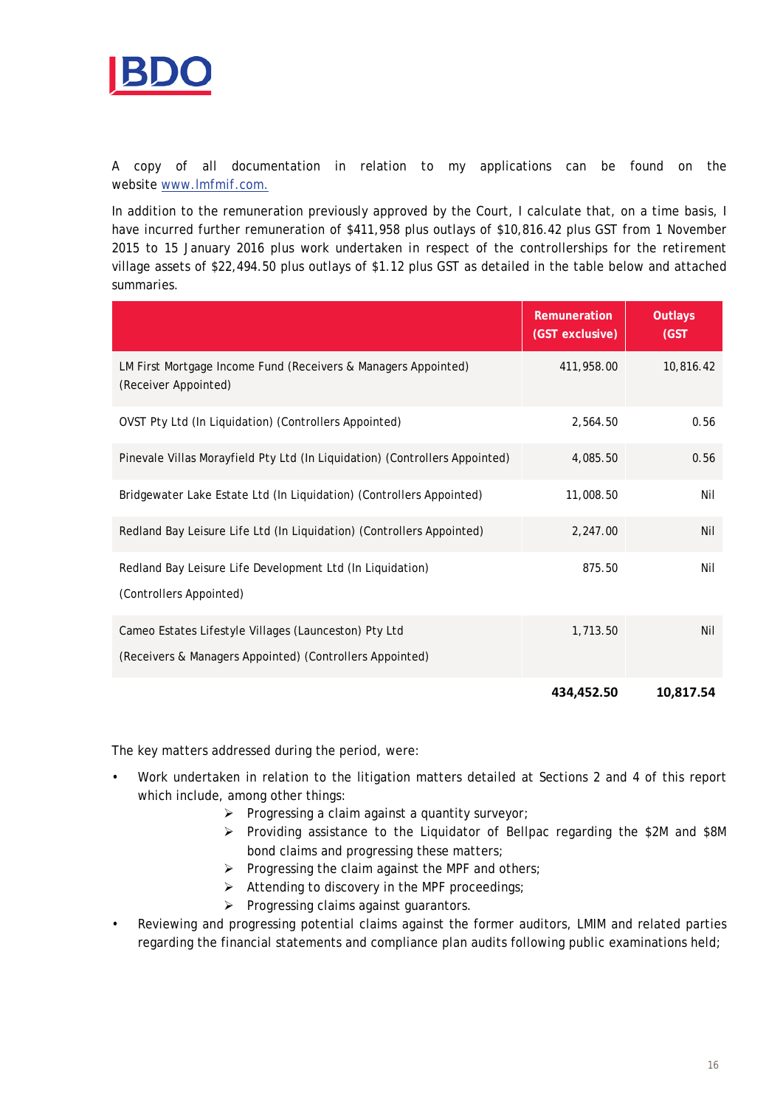

A copy of all documentation in relation to my applications can be found on the website [www.lmfmif.com.](http://www.lmfmif.com/)

In addition to the remuneration previously approved by the Court, I calculate that, on a time basis, I have incurred further remuneration of \$411,958 plus outlays of \$10,816.42 plus GST from 1 November 2015 to 15 January 2016 plus work undertaken in respect of the controllerships for the retirement village assets of \$22,494.50 plus outlays of \$1.12 plus GST as detailed in the table below and attached summaries.

|                                                                                                                   | Remuneration<br>(GST exclusive) | Outlays<br>(GST) |
|-------------------------------------------------------------------------------------------------------------------|---------------------------------|------------------|
| LM First Mortgage Income Fund (Receivers & Managers Appointed)<br>(Receiver Appointed)                            | 411,958.00                      | 10,816.42        |
| OVST Pty Ltd (In Liquidation) (Controllers Appointed)                                                             | 2,564.50                        | 0.56             |
| Pinevale Villas Morayfield Pty Ltd (In Liquidation) (Controllers Appointed)                                       | 4,085.50                        | 0.56             |
| Bridgewater Lake Estate Ltd (In Liquidation) (Controllers Appointed)                                              | 11,008.50                       | Nil              |
| Redland Bay Leisure Life Ltd (In Liquidation) (Controllers Appointed)                                             | 2,247.00                        | Nil              |
| Redland Bay Leisure Life Development Ltd (In Liquidation)<br>(Controllers Appointed)                              | 875.50                          | Nil              |
| Cameo Estates Lifestyle Villages (Launceston) Pty Ltd<br>(Receivers & Managers Appointed) (Controllers Appointed) | 1,713.50                        | Nil              |
|                                                                                                                   | 434,452.50                      | 10,817.54        |

The key matters addressed during the period, were:

- Work undertaken in relation to the litigation matters detailed at Sections 2 and 4 of this report which include, among other things:
	- $\triangleright$  Progressing a claim against a quantity surveyor;
	- Providing assistance to the Liquidator of Bellpac regarding the \$2M and \$8M bond claims and progressing these matters;
	- $\triangleright$  Progressing the claim against the MPF and others;
	- $\triangleright$  Attending to discovery in the MPF proceedings;
	- $\triangleright$  Progressing claims against guarantors.
- Reviewing and progressing potential claims against the former auditors, LMIM and related parties regarding the financial statements and compliance plan audits following public examinations held;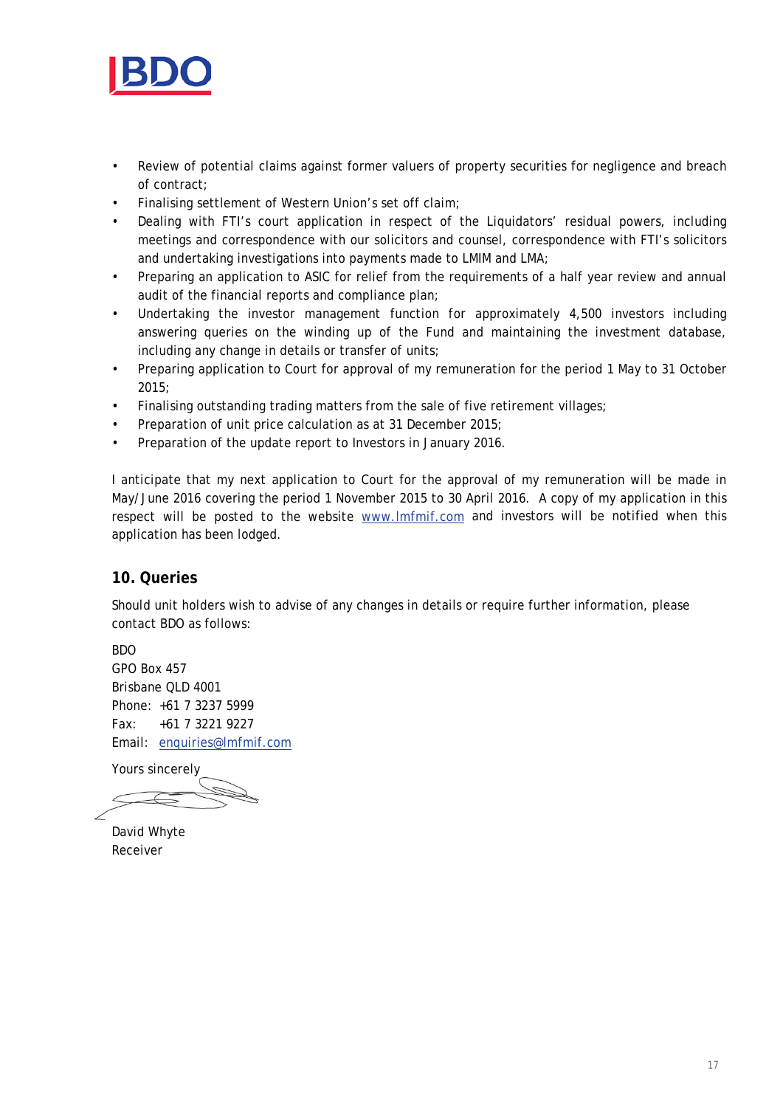

- Review of potential claims against former valuers of property securities for negligence and breach of contract;
- Finalising settlement of Western Union's set off claim;
- Dealing with FTI's court application in respect of the Liquidators' residual powers, including meetings and correspondence with our solicitors and counsel, correspondence with FTI's solicitors and undertaking investigations into payments made to LMIM and LMA;
- Preparing an application to ASIC for relief from the requirements of a half year review and annual audit of the financial reports and compliance plan;
- Undertaking the investor management function for approximately 4,500 investors including answering queries on the winding up of the Fund and maintaining the investment database, including any change in details or transfer of units;
- Preparing application to Court for approval of my remuneration for the period 1 May to 31 October 2015;
- Finalising outstanding trading matters from the sale of five retirement villages;
- Preparation of unit price calculation as at 31 December 2015;
- Preparation of the update report to Investors in January 2016.

I anticipate that my next application to Court for the approval of my remuneration will be made in May/June 2016 covering the period 1 November 2015 to 30 April 2016. A copy of my application in this respect will be posted to the website [www.lmfmif.com](http://www.lmfmif.com/) and investors will be notified when this application has been lodged.

## **10. Queries**

Should unit holders wish to advise of any changes in details or require further information, please contact BDO as follows:

BDO GPO Box 457 Brisbane QLD 4001 Phone: +61 7 3237 5999 Fax: +61 7 3221 9227 Email: [enquiries@lmfmif.com](mailto:enquiries@lmfmif.com)

Yours sincerely

David Whyte Receiver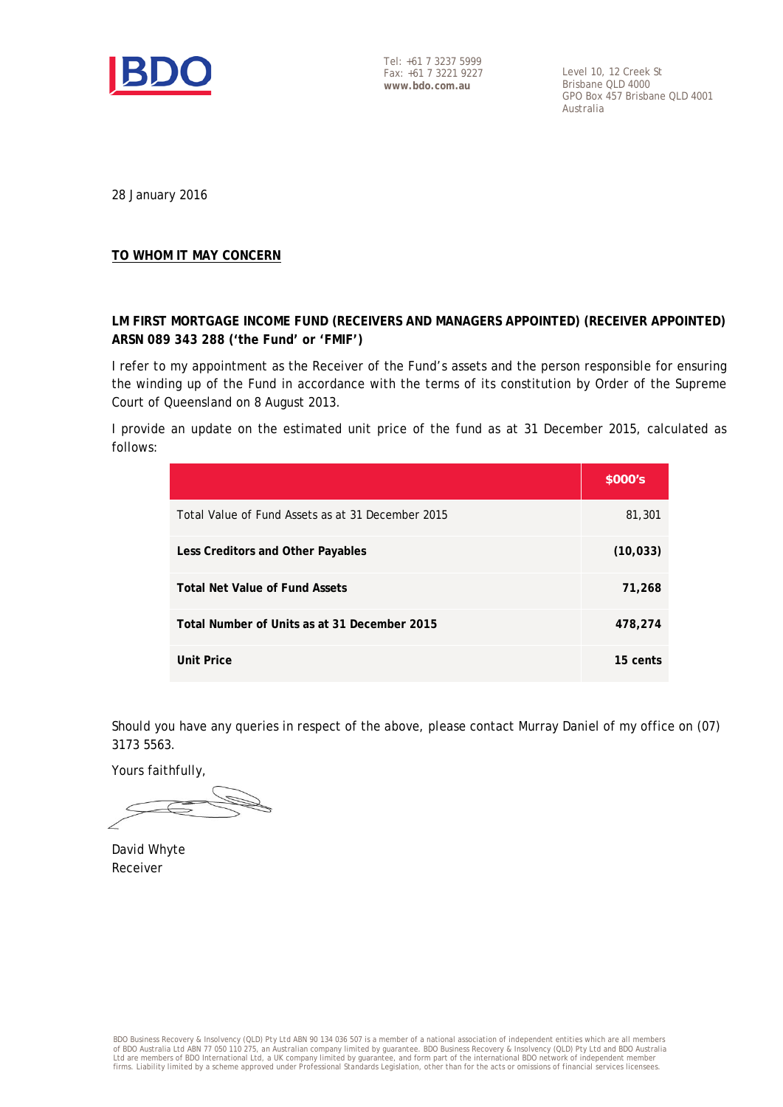

Tel: +61 7 3237 5999 Fax: +61 7 3221 9227 **www.bdo.com.au**

Level 10, 12 Creek St Brisbane QLD 4000 GPO Box 457 Brisbane QLD 4001 Australia

28 January 2016

### **TO WHOM IT MAY CONCERN**

## **LM FIRST MORTGAGE INCOME FUND (RECEIVERS AND MANAGERS APPOINTED) (RECEIVER APPOINTED) ARSN 089 343 288 ('the Fund' or 'FMIF')**

I refer to my appointment as the Receiver of the Fund's assets and the person responsible for ensuring the winding up of the Fund in accordance with the terms of its constitution by Order of the Supreme Court of Queensland on 8 August 2013.

I provide an update on the estimated unit price of the fund as at 31 December 2015, calculated as follows:

|                                                   | \$000's   |
|---------------------------------------------------|-----------|
| Total Value of Fund Assets as at 31 December 2015 | 81,301    |
| Less Creditors and Other Payables                 | (10, 033) |
| <b>Total Net Value of Fund Assets</b>             | 71,268    |
| Total Number of Units as at 31 December 2015      | 478,274   |
| Unit Price                                        | 15 cents  |

Should you have any queries in respect of the above, please contact Murray Daniel of my office on (07) 3173 5563.

Yours faithfully,

David Whyte Receiver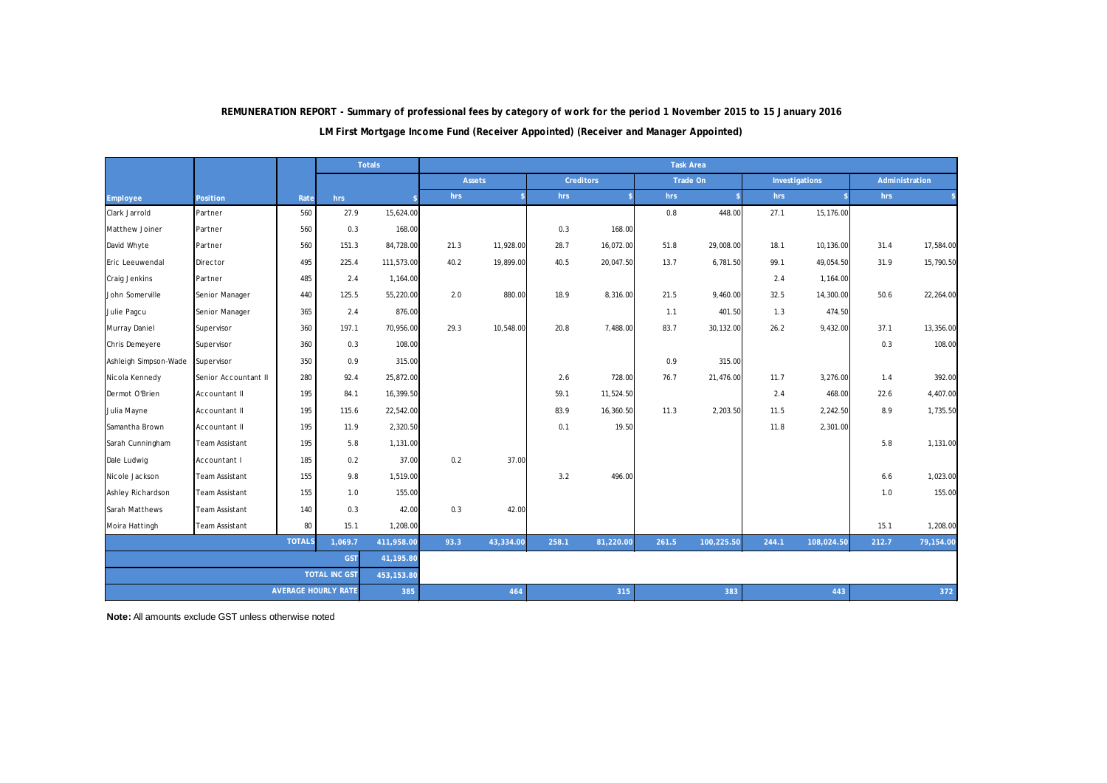|                          |                            |      |                      | <b>Totals</b> |           |               |           |                  |            | <b>Task Area</b>   |            |                |           |                |
|--------------------------|----------------------------|------|----------------------|---------------|-----------|---------------|-----------|------------------|------------|--------------------|------------|----------------|-----------|----------------|
|                          |                            |      |                      |               |           | <b>Assets</b> |           | <b>Creditors</b> |            | Trade On           |            | Investigations |           | Administration |
| <b>Employee</b>          | <b>Position</b>            | Rate | hrs                  |               | hrs       |               | hrs       |                  | hrs        | $\hat{\mathbf{x}}$ | hrs        |                | hrs       |                |
| Clark Jarrold            | Partner                    | 560  | 27.9                 | 15,624.00     |           |               |           |                  | 0.8        | 448.00             | 27.1       | 15,176.00      |           |                |
| Matthew Joiner           | Partner                    | 560  | 0.3                  | 168.00        |           |               | 0.3       | 168.00           |            |                    |            |                |           |                |
| David Whyte              | Partner                    | 560  | 151.3                | 84,728.00     | 21.3      | 11,928.00     | 28.7      | 16,072.00        | 51.8       | 29,008.00          | 18.1       | 10,136.00      | 31.4      | 17,584.00      |
| Eric Leeuwendal          | Director                   | 495  | 225.4                | 111,573.00    | 40.2      | 19,899.00     | 40.5      | 20,047.50        | 13.7       | 6,781.50           | 99.1       | 49,054.50      | 31.9      | 15,790.50      |
| Craig Jenkins            | Partner                    | 485  | 2.4                  | 1,164.00      |           |               |           |                  |            |                    | 2.4        | 1,164.00       |           |                |
| John Somerville          | Senior Manager             | 440  | 125.5                | 55,220.00     | 2.0       | 880.00        | 18.9      | 8,316.00         | 21.5       | 9,460.00           | 32.5       | 14,300.00      | 50.6      | 22,264.00      |
| Julie Pagcu              | Senior Manager             | 365  | 2.4                  | 876.00        |           |               |           |                  | 1.1        | 401.50             | 1.3        | 474.50         |           |                |
| Murray Daniel            | Supervisor                 | 360  | 197.1                | 70,956.00     | 29.3      | 10,548.00     | 20.8      | 7,488.00         | 83.7       | 30,132.00          | 26.2       | 9,432.00       | 37.1      | 13,356.00      |
| Chris Demeyere           | Supervisor                 | 360  | 0.3                  | 108.00        |           |               |           |                  |            |                    |            |                | 0.3       | 108.00         |
| Ashleigh Simpson-Wade    | Supervisor                 | 350  | 0.9                  | 315.00        |           |               |           |                  | 0.9        | 315.00             |            |                |           |                |
| Nicola Kennedy           | Senior Accountant II       | 280  | 92.4                 | 25,872.00     |           |               | 2.6       | 728.00           | 76.7       | 21,476.00          | 11.7       | 3,276.00       | 1.4       | 392.00         |
| Dermot O'Brien           | Accountant II              | 195  | 84.1                 | 16,399.50     |           |               | 59.1      | 11,524.50        |            |                    | 2.4        | 468.00         | 22.6      | 4,407.00       |
| Julia Mayne              | Accountant II              | 195  | 115.6                | 22,542.00     |           |               | 83.9      | 16,360.50        | 11.3       | 2,203.50           | 11.5       | 2,242.50       | 8.9       | 1,735.50       |
| Samantha Brown           | Accountant II              | 195  | 11.9                 | 2,320.50      |           |               | 0.1       | 19.50            |            |                    | 11.8       | 2,301.00       |           |                |
| Sarah Cunningham         | <b>Team Assistant</b>      | 195  | 5.8                  | 1,131.00      |           |               |           |                  |            |                    |            |                | 5.8       | 1,131.00       |
| Dale Ludwig              | Accountant I               | 185  | 0.2                  | 37.00         | 0.2       | 37.00         |           |                  |            |                    |            |                |           |                |
| Nicole Jackson           | <b>Team Assistant</b>      | 155  | 9.8                  | 1,519.00      |           |               | 3.2       | 496.00           |            |                    |            |                | 6.6       | 1,023.00       |
| Ashley Richardson        | <b>Team Assistant</b>      | 155  | 1.0                  | 155.00        |           |               |           |                  |            |                    |            |                | 1.0       | 155.00         |
| Sarah Matthews           | <b>Team Assistant</b>      | 140  | 0.3                  | 42.00         | 0.3       | 42.00         |           |                  |            |                    |            |                |           |                |
| Moira Hattingh           | <b>Team Assistant</b>      | 80   | 15.1                 | 1,208.00      |           |               |           |                  |            |                    |            |                | 15.1      | 1,208.00       |
| <b>TOTALS</b><br>1,069.7 |                            |      | 411,958.00           | 93.3          | 43,334.00 | 258.1         | 81,220.00 | 261.5            | 100,225.50 | 244.1              | 108,024.50 | 212.7          | 79,154.00 |                |
| <b>GST</b>               |                            |      | 41,195.80            |               |           |               |           |                  |            |                    |            |                |           |                |
|                          |                            |      | <b>TOTAL INC GST</b> | 453,153.80    |           |               |           |                  |            |                    |            |                |           |                |
|                          | <b>AVERAGE HOURLY RATE</b> |      |                      | 385           |           | 464           |           | 315              |            | 383                |            | 443            |           | 372            |

**LM First Mortgage Income Fund (Receiver Appointed) (Receiver and Manager Appointed)**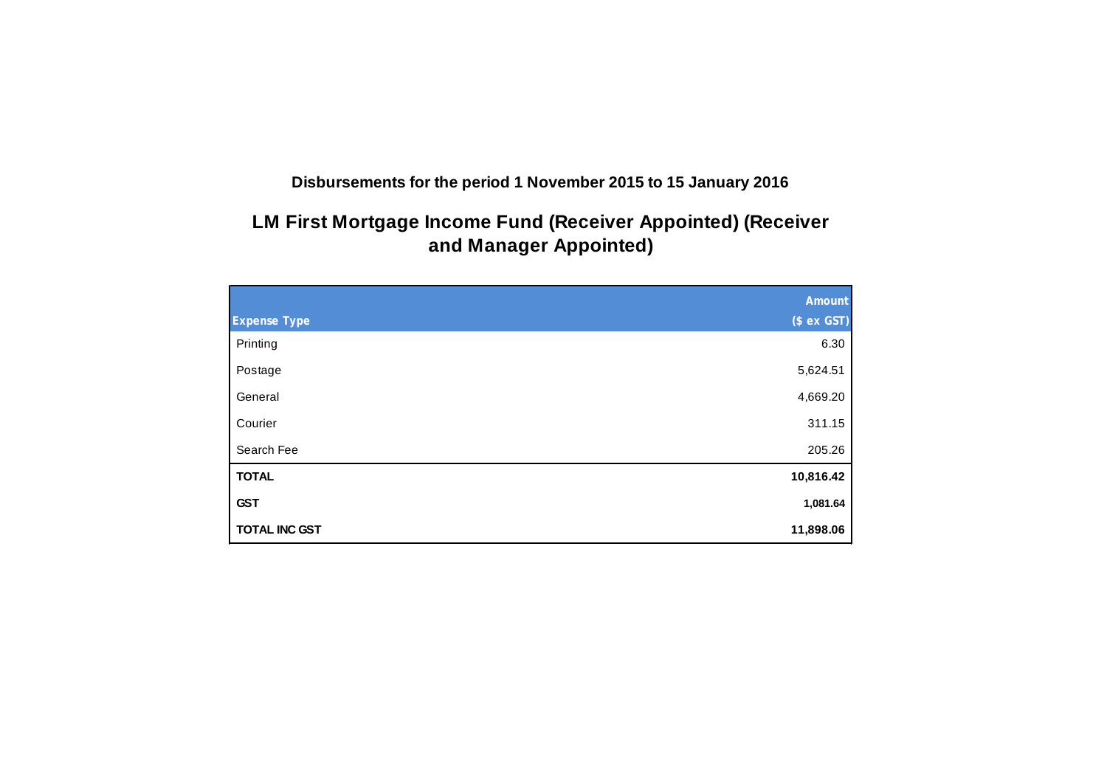**Disbursements for the period 1 November 2015 to 15 January 2016**

# **LM First Mortgage Income Fund (Receiver Appointed) (Receiver and Manager Appointed)**

|                      | Amount      |
|----------------------|-------------|
| <b>Expense Type</b>  | (\$ ex GST) |
| Printing             | 6.30        |
| Postage              | 5,624.51    |
| General              | 4,669.20    |
| Courier              | 311.15      |
| Search Fee           | 205.26      |
| <b>TOTAL</b>         | 10,816.42   |
| <b>GST</b>           | 1,081.64    |
| <b>TOTAL INC GST</b> | 11,898.06   |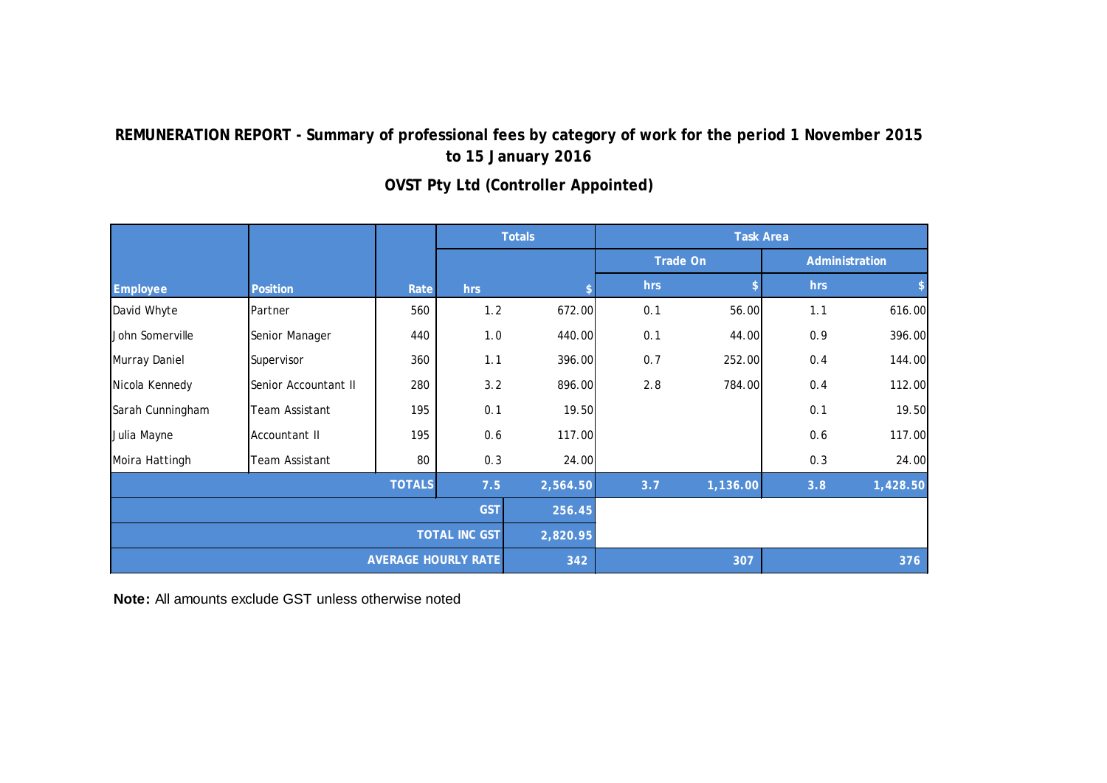|                  |                            |               | <b>Totals</b>        |          |     |                 | <b>Task Area</b> |                |
|------------------|----------------------------|---------------|----------------------|----------|-----|-----------------|------------------|----------------|
|                  |                            |               |                      |          |     | <b>Trade On</b> |                  | Administration |
| Employee         | <b>Position</b>            | Rate          | hrs                  |          | hrs |                 | hrs              |                |
| David Whyte      | Partner                    | 560           | 1.2                  | 672.00   | 0.1 | 56.00           | 1.1              | 616.00         |
| John Somerville  | Senior Manager             | 440           | 1.0                  | 440.00   | 0.1 | 44.00           | 0.9              | 396.00         |
| Murray Daniel    | Supervisor                 | 360           | 1.1                  | 396.00   | 0.7 | 252.00          | 0.4              | 144.00         |
| Nicola Kennedy   | Senior Accountant II       | 280           | 3.2                  | 896.00   | 2.8 | 784.00          | 0.4              | 112.00         |
| Sarah Cunningham | Team Assistant             | 195           | 0.1                  | 19.50    |     |                 | 0.1              | 19.50          |
| Julia Mayne      | Accountant II              | 195           | 0.6                  | 117.00   |     |                 | 0.6              | 117.00         |
| Moira Hattingh   | Team Assistant             | 80            | 0.3                  | 24.00    |     |                 | 0.3              | 24.00          |
|                  |                            | <b>TOTALS</b> | 7.5                  | 2,564.50 | 3.7 | 1,136.00        | 3.8              | 1,428.50       |
|                  |                            |               | <b>GST</b>           | 256.45   |     |                 |                  |                |
|                  |                            |               | <b>TOTAL INC GST</b> | 2,820.95 |     |                 |                  |                |
|                  | <b>AVERAGE HOURLY RATE</b> |               |                      |          |     | 307             |                  | 376            |

# **OVST Pty Ltd (Controller Appointed)**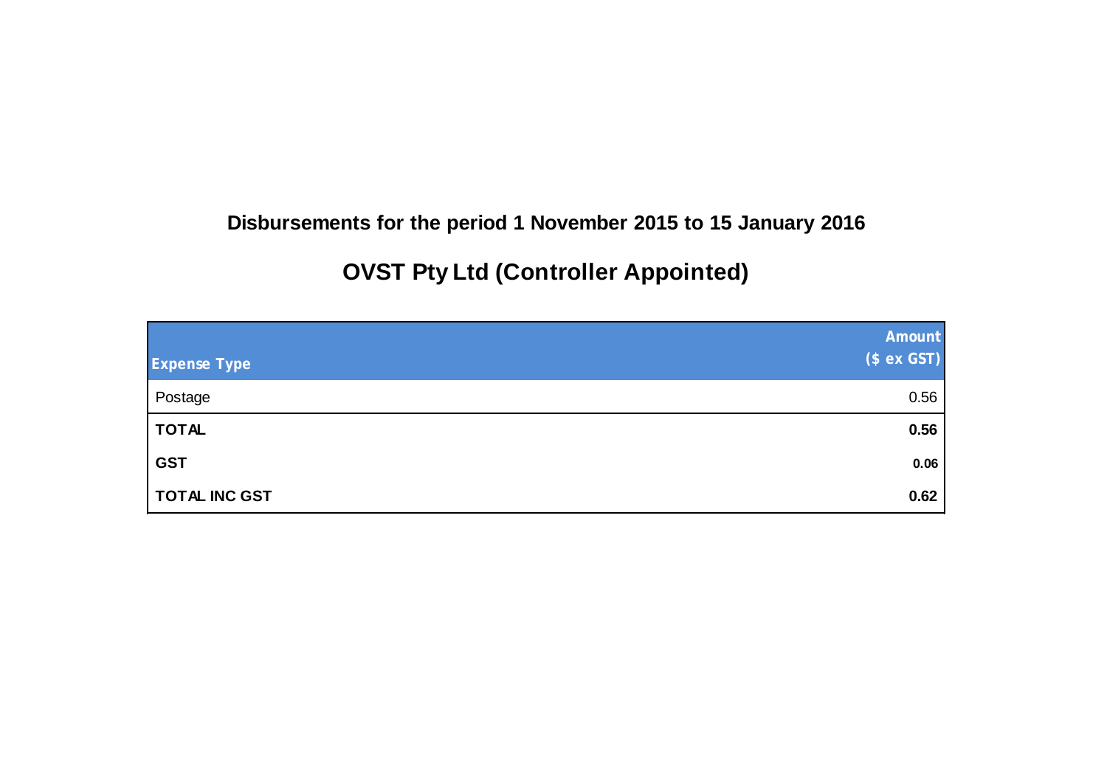# **Disbursements for the period 1 November 2015 to 15 January 2016**

# **OVST Pty Ltd (Controller Appointed)**

| <b>Expense Type</b>  | Amount<br>(\$ ex GST) |
|----------------------|-----------------------|
| Postage              | 0.56                  |
| <b>TOTAL</b>         | 0.56                  |
| <b>GST</b>           | 0.06                  |
| <b>TOTAL INC GST</b> | 0.62                  |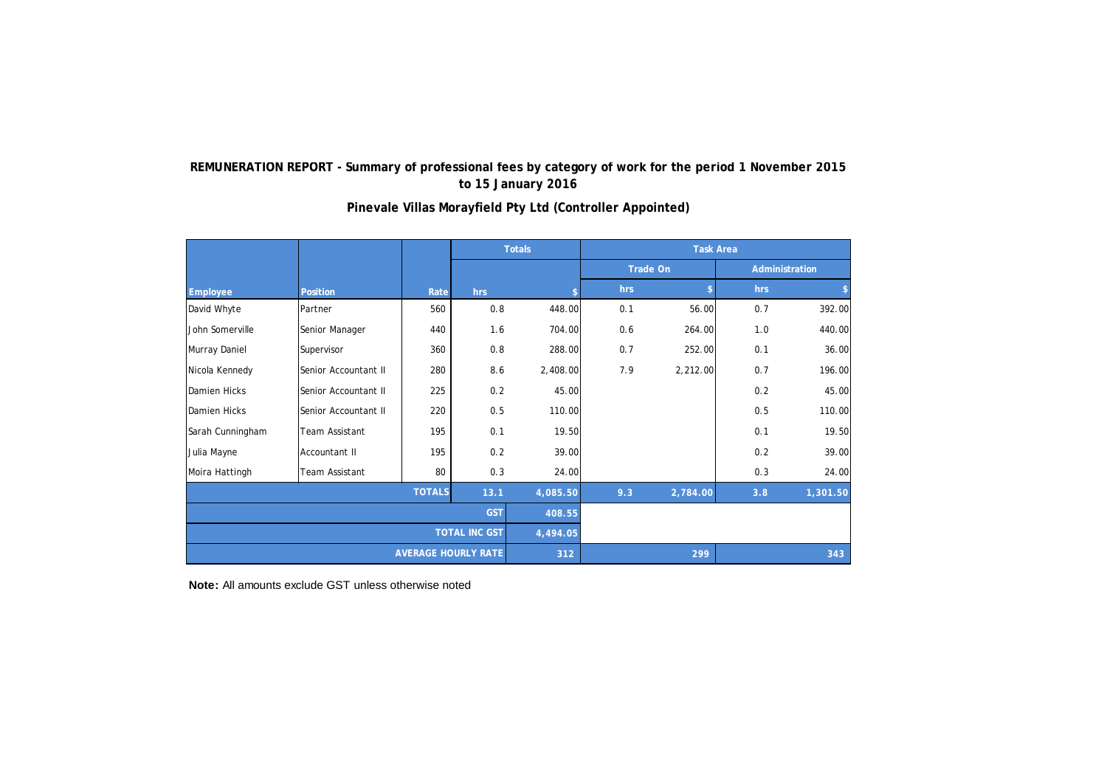|                  |                            |               | <b>Totals</b> |          |     |                 | <b>Task Area</b> |                |
|------------------|----------------------------|---------------|---------------|----------|-----|-----------------|------------------|----------------|
|                  |                            |               |               |          |     | <b>Trade On</b> |                  | Administration |
| <b>Employee</b>  | <b>Position</b>            | Rate          | hrs           |          | hrs | \$.             | hrs              | \$             |
| David Whyte      | Partner                    | 560           | 0.8           | 448.00   | 0.1 | 56.00           | 0.7              | 392.00         |
| John Somerville  | Senior Manager             | 440           | 1.6           | 704.00   | 0.6 | 264.00          | 1.0              | 440.00         |
| Murray Daniel    | Supervisor                 | 360           | 0.8           | 288.00   | 0.7 | 252.00          | 0.1              | 36.00          |
| Nicola Kennedy   | Senior Accountant II       | 280           | 8.6           | 2,408.00 | 7.9 | 2,212.00        | 0.7              | 196.00         |
| Damien Hicks     | Senior Accountant II       | 225           | 0.2           | 45.00    |     |                 | 0.2              | 45.00          |
| Damien Hicks     | Senior Accountant II       | 220           | 0.5           | 110.00   |     |                 | 0.5              | 110.00         |
| Sarah Cunningham | Team Assistant             | 195           | 0.1           | 19.50    |     |                 | 0.1              | 19.50          |
| Julia Mayne      | Accountant II              | 195           | 0.2           | 39.00    |     |                 | 0.2              | 39.00          |
| Moira Hattingh   | Team Assistant             | 80            | 0.3           | 24.00    |     |                 | 0.3              | 24.00          |
|                  |                            | <b>TOTALS</b> | 13.1          | 4,085.50 | 9.3 | 2,784.00        | 3.8              | 1,301.50       |
| <b>GST</b>       |                            |               | 408.55        |          |     |                 |                  |                |
|                  | <b>TOTAL INC GST</b>       |               |               | 4,494.05 |     |                 |                  |                |
|                  | <b>AVERAGE HOURLY RATE</b> |               |               |          |     | 299             |                  | 343            |

**Pinevale Villas Morayfield Pty Ltd (Controller Appointed)**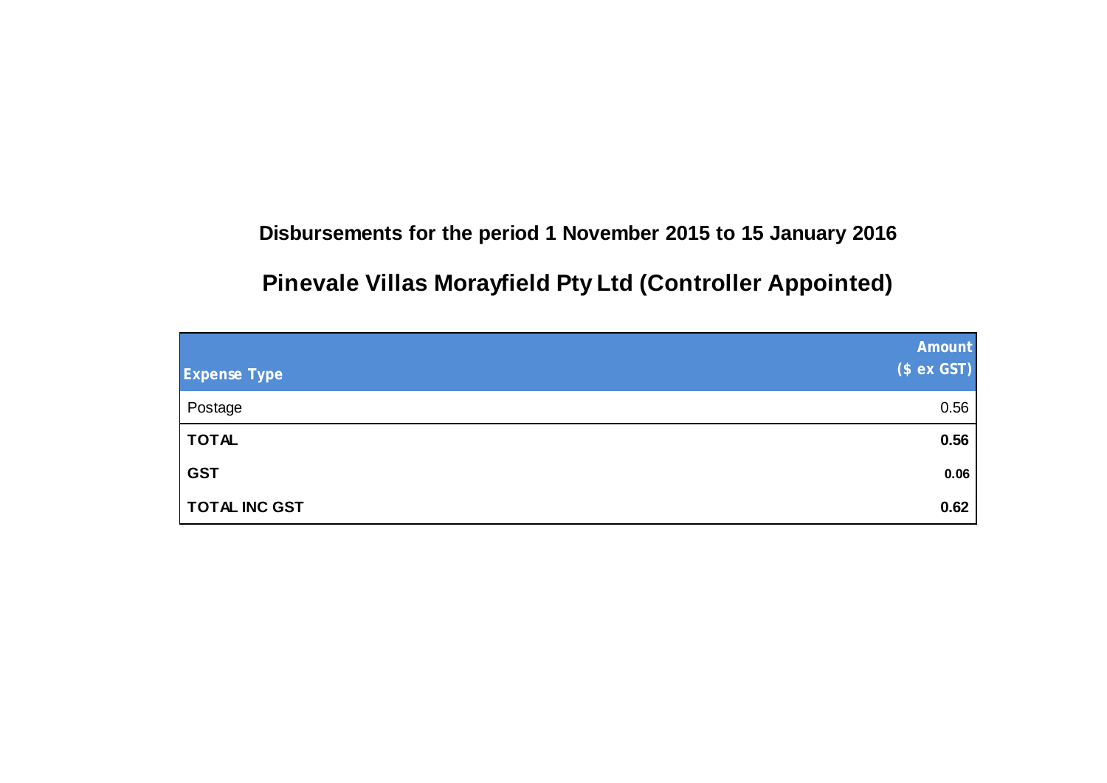# **Disbursements for the period 1 November 2015 to 15 January 2016**

# **Pinevale Villas Morayfield Pty Ltd (Controller Appointed)**

| <b>Expense Type</b>  | <b>Amount</b><br>(\$ ex GST) |
|----------------------|------------------------------|
| Postage              | 0.56                         |
| <b>TOTAL</b>         | 0.56                         |
| <b>GST</b>           | 0.06                         |
| <b>TOTAL INC GST</b> | 0.62                         |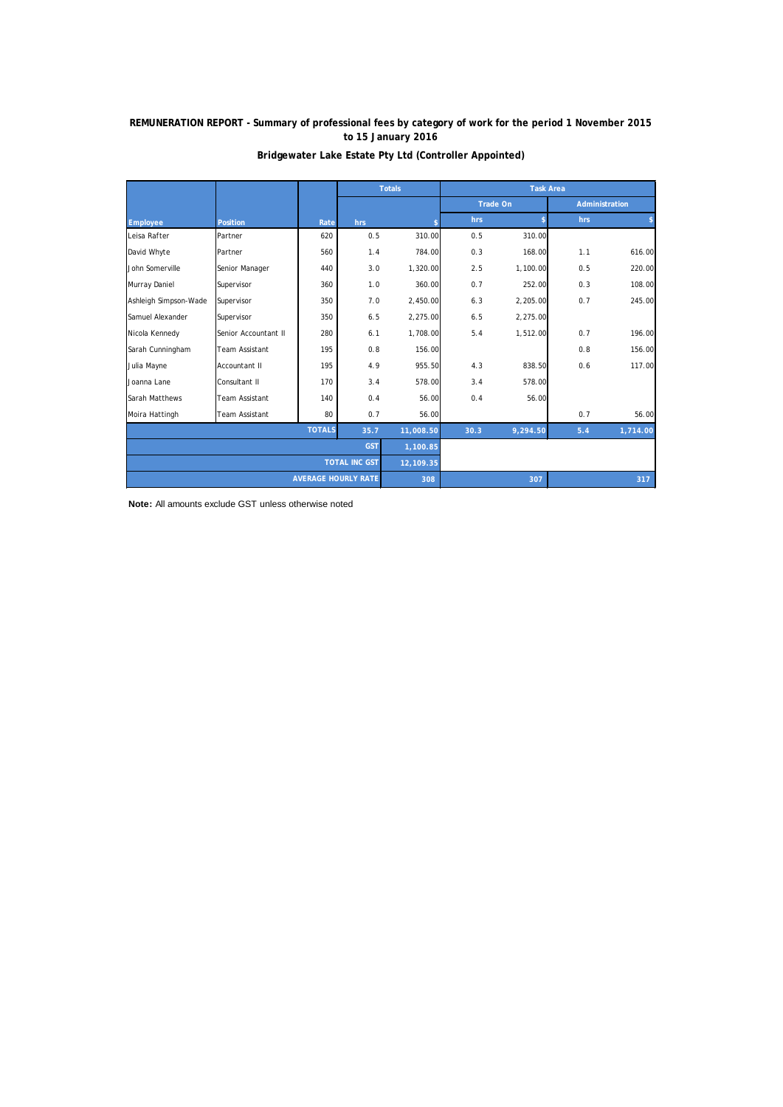|                            |                       |               |      | <b>Totals</b> | <b>Task Area</b> |          |                |          |
|----------------------------|-----------------------|---------------|------|---------------|------------------|----------|----------------|----------|
|                            |                       |               |      |               | <b>Trade On</b>  |          | Administration |          |
| <b>Employee</b>            | <b>Position</b>       | Rate          | hrs  |               | hrs              |          | hrs            |          |
| Leisa Rafter               | Partner               | 620           | 0.5  | 310.00        | 0.5              | 310.00   |                |          |
| David Whyte                | Partner               | 560           | 1.4  | 784.00        | 0.3              | 168.00   | 1.1            | 616.00   |
| John Somerville            | Senior Manager        | 440           | 3.0  | 1,320.00      | 2.5              | 1,100.00 | 0.5            | 220.00   |
| Murray Daniel              | Supervisor            | 360           | 1.0  | 360.00        | 0.7              | 252.00   | 0.3            | 108.00   |
| Ashleigh Simpson-Wade      | Supervisor            | 350           | 7.0  | 2,450.00      | 6.3              | 2,205.00 | 0.7            | 245.00   |
| Samuel Alexander           | Supervisor            | 350           | 6.5  | 2,275.00      | 6.5              | 2,275.00 |                |          |
| Nicola Kennedy             | Senior Accountant II  | 280           | 6.1  | 1,708.00      | 5.4              | 1,512.00 | 0.7            | 196.00   |
| Sarah Cunningham           | <b>Team Assistant</b> | 195           | 0.8  | 156.00        |                  |          | 0.8            | 156.00   |
| Julia Mayne                | Accountant II         | 195           | 4.9  | 955.50        | 4.3              | 838.50   | 0.6            | 117.00   |
| Joanna Lane                | Consultant II         | 170           | 3.4  | 578.00        | 3.4              | 578.00   |                |          |
| Sarah Matthews             | <b>Team Assistant</b> | 140           | 0.4  | 56.00         | 0.4              | 56.00    |                |          |
| Moira Hattingh             | <b>Team Assistant</b> | 80            | 0.7  | 56.00         |                  |          | 0.7            | 56.00    |
|                            |                       | <b>TOTALS</b> | 35.7 | 11,008.50     | 30.3             | 9,294.50 | 5.4            | 1,714.00 |
| <b>GST</b>                 |                       |               |      | 1,100.85      |                  |          |                |          |
| <b>TOTAL INC GST</b>       |                       |               |      | 12,109.35     |                  |          |                |          |
| <b>AVERAGE HOURLY RATE</b> |                       |               |      | 308           |                  | 307      |                | 317      |

### **Bridgewater Lake Estate Pty Ltd (Controller Appointed)**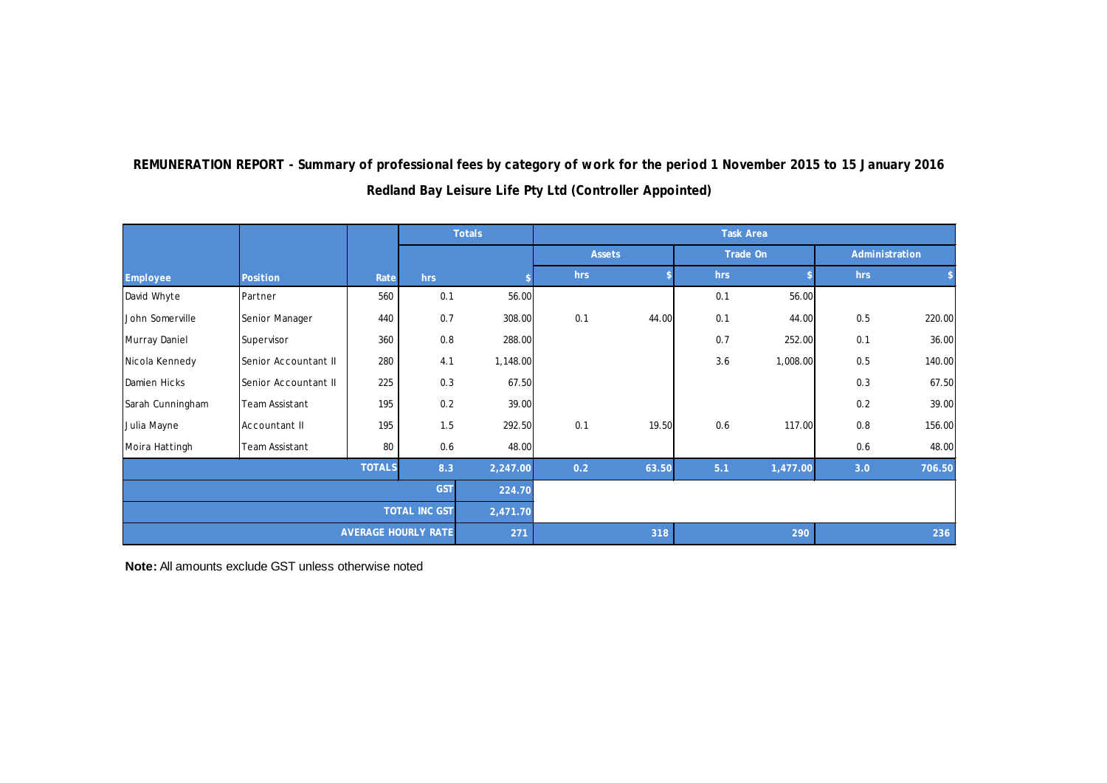|                            |                      |      |          | <b>Totals</b> | <b>Task Area</b> |       |          |          |                |        |  |
|----------------------------|----------------------|------|----------|---------------|------------------|-------|----------|----------|----------------|--------|--|
|                            |                      |      |          |               | <b>Assets</b>    |       | Trade On |          | Administration |        |  |
| Employee                   | Position             | Rate | hrs      |               | hrs              |       | hrs      |          | hrs            |        |  |
| David Whyte                | Partner              | 560  | 0.1      | 56.00         |                  |       | 0.1      | 56.00    |                |        |  |
| John Somerville            | Senior Manager       | 440  | 0.7      | 308.00        | 0.1              | 44.00 | 0.1      | 44.00    | 0.5            | 220.00 |  |
| Murray Daniel              | Supervisor           | 360  | 0.8      | 288.00        |                  |       | 0.7      | 252.00   | 0.1            | 36.00  |  |
| Nicola Kennedy             | Senior Accountant II | 280  | 4.1      | 1,148.00      |                  |       | 3.6      | 1,008.00 | 0.5            | 140.00 |  |
| Damien Hicks               | Senior Accountant II | 225  | 0.3      | 67.50         |                  |       |          |          | 0.3            | 67.50  |  |
| Sarah Cunningham           | Team Assistant       | 195  | 0.2      | 39.00         |                  |       |          |          | 0.2            | 39.00  |  |
| Julia Mayne                | Accountant II        | 195  | 1.5      | 292.50        | 0.1              | 19.50 | 0.6      | 117.00   | 0.8            | 156.00 |  |
| Moira Hattingh             | Team Assistant       | 80   | 0.6      | 48.00         |                  |       |          |          | 0.6            | 48.00  |  |
| <b>TOTALS</b><br>8.3       |                      |      | 2,247.00 | 0.2           | 63.50            | 5.1   | 1,477.00 | 3.0      | 706.50         |        |  |
| <b>GST</b>                 |                      |      | 224.70   |               |                  |       |          |          |                |        |  |
| <b>TOTAL INC GST</b>       |                      |      |          | 2,471.70      |                  |       |          |          |                |        |  |
| <b>AVERAGE HOURLY RATE</b> |                      |      |          | 271           |                  | 318   |          | 290      |                | 236    |  |

# **Redland Bay Leisure Life Pty Ltd (Controller Appointed) REMUNERATION REPORT - Summary of professional fees by category of work for the period 1 November 2015 to 15 January 2016**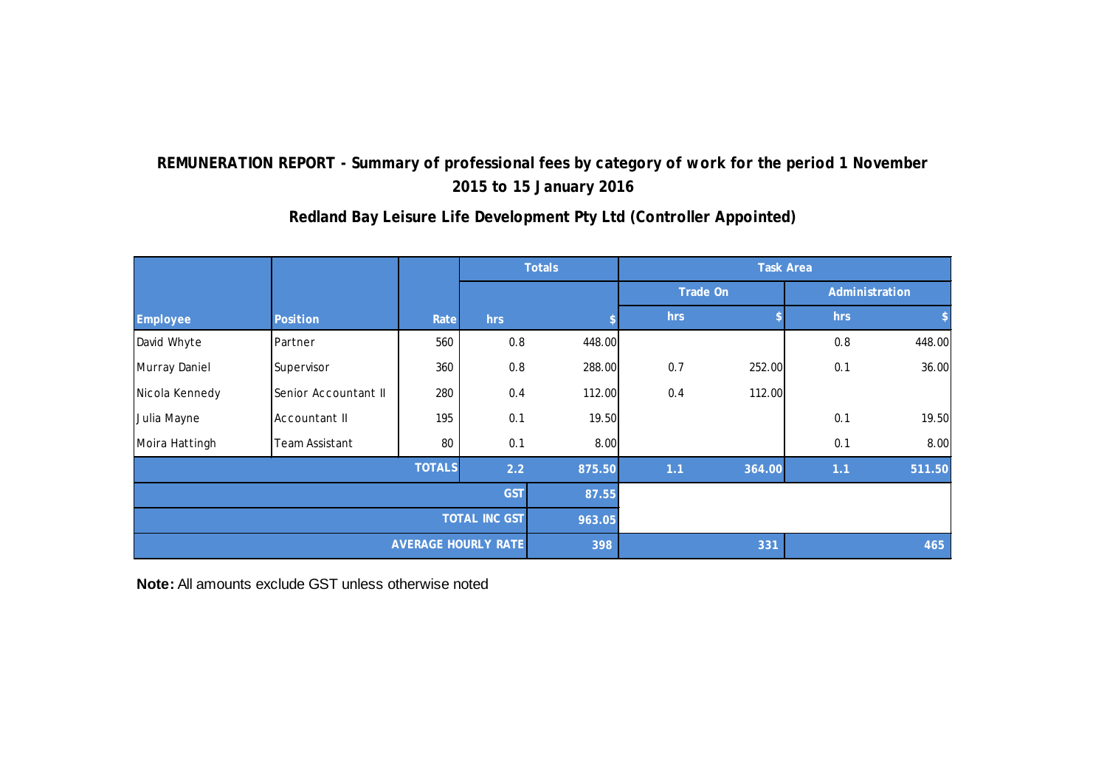#### **hrs**  $\qquad \qquad$  **\$** hrs  $\qquad \qquad$  **\$** David Whyte 560 | 0.8 448.00 | 0.8 448.00 Murray Daniel |Supervisor | 360 | 0.8 288.00| 0.7 252.00| 0.1 36.00  $\vert$  Nicola Kennedy Senior Accountant II  $\vert$  280  $\vert$  0.4 112.00 0.4 112.00 Julia Mayne Accountant II 195 0.1 19.50 0.1 19.50 Moira Hattingh 80 | 0.1 8.00 | 8.00 **E 2.2 875.50 1.1 364.00 1.1 511.50 87.55 963.05 1998 - مان المسافر التي يتم التي تحت التي يتم التي يتم التي يتم التي يتم التي يتم التي يتم التي يتم التي يتم ا AVERAGE HOURLY RATE Task Area Administration Employee Position Totals Trade On Rate hrs \$ TOTALS GST TOTAL INC GST**

# **Redland Bay Leisure Life Development Pty Ltd (Controller Appointed)**